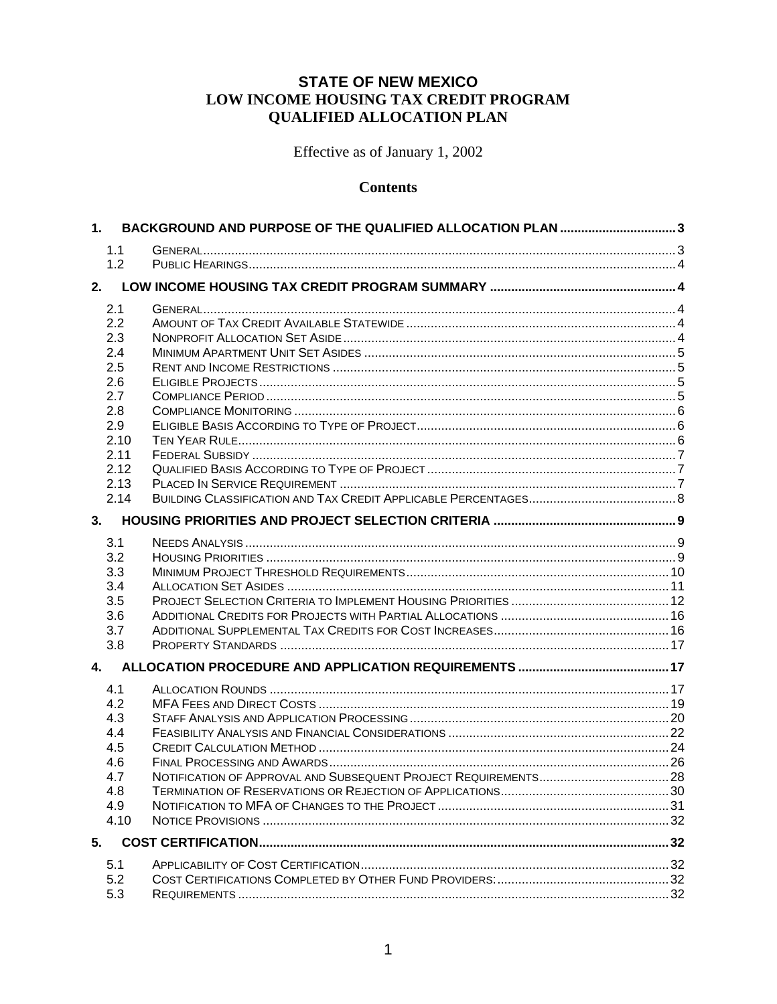### **STATE OF NEW MEXICO** LOW INCOME HOUSING TAX CREDIT PROGRAM **QUALIFIED ALLOCATION PLAN**

Effective as of January 1, 2002

#### **Contents**

| 1.         | BACKGROUND AND PURPOSE OF THE QUALIFIED ALLOCATION PLAN 3 |  |
|------------|-----------------------------------------------------------|--|
| 1.1        |                                                           |  |
| 1.2        |                                                           |  |
| 2.         |                                                           |  |
| 2.1        |                                                           |  |
| 2.2        |                                                           |  |
| 2.3        |                                                           |  |
| 2.4        |                                                           |  |
| 2.5        |                                                           |  |
| 2.6        |                                                           |  |
| 2.7        |                                                           |  |
| 2.8        |                                                           |  |
| 2.9        |                                                           |  |
| 2.10       |                                                           |  |
| 2.11       |                                                           |  |
| 2.12       |                                                           |  |
| 2.13       |                                                           |  |
| 2.14       |                                                           |  |
| 3.         |                                                           |  |
| 3.1        |                                                           |  |
| 3.2        |                                                           |  |
| 3.3        |                                                           |  |
| 3.4        |                                                           |  |
| 3.5        |                                                           |  |
| 3.6        |                                                           |  |
| 3.7        |                                                           |  |
| 3.8        |                                                           |  |
| 4.         |                                                           |  |
|            |                                                           |  |
| 4.1        |                                                           |  |
| 4.2        |                                                           |  |
| 4.3        |                                                           |  |
| 4.4        |                                                           |  |
| 4.5        |                                                           |  |
| 4.6<br>4.7 |                                                           |  |
| 4.8        |                                                           |  |
| 4.9        |                                                           |  |
| 4.10       |                                                           |  |
| 5.         |                                                           |  |
|            |                                                           |  |
| 5.1        |                                                           |  |
| 5.2        |                                                           |  |
| 5.3        |                                                           |  |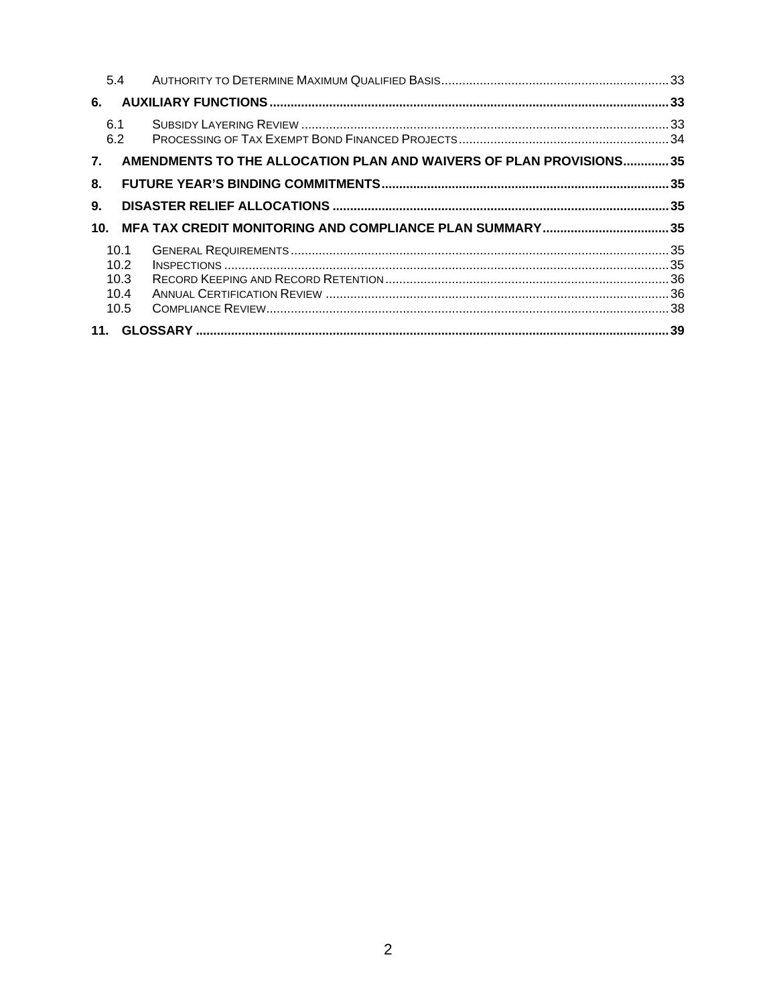|                 | 5.4        |                                                                    |  |
|-----------------|------------|--------------------------------------------------------------------|--|
| 6.              |            |                                                                    |  |
|                 | 6.1<br>6.2 |                                                                    |  |
| 7.              |            | AMENDMENTS TO THE ALLOCATION PLAN AND WAIVERS OF PLAN PROVISIONS35 |  |
| 8.              |            |                                                                    |  |
| 9.              |            |                                                                    |  |
| 10 <sub>1</sub> |            |                                                                    |  |
|                 | 10.1       |                                                                    |  |
|                 | 10.2       |                                                                    |  |
|                 | 10.3       |                                                                    |  |
|                 | 10.4       |                                                                    |  |
|                 | 10.5       |                                                                    |  |
|                 |            |                                                                    |  |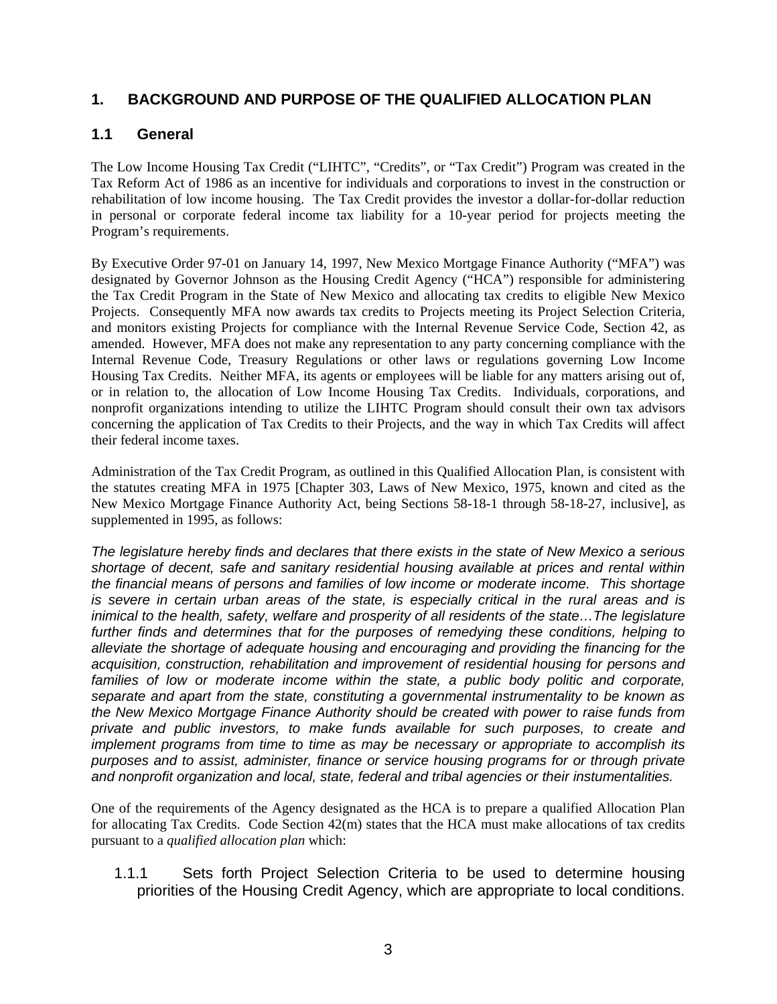# **1. BACKGROUND AND PURPOSE OF THE QUALIFIED ALLOCATION PLAN**

# **1.1 General**

The Low Income Housing Tax Credit ("LIHTC", "Credits", or "Tax Credit") Program was created in the Tax Reform Act of 1986 as an incentive for individuals and corporations to invest in the construction or rehabilitation of low income housing. The Tax Credit provides the investor a dollar-for-dollar reduction in personal or corporate federal income tax liability for a 10-year period for projects meeting the Program's requirements.

By Executive Order 97-01 on January 14, 1997, New Mexico Mortgage Finance Authority ("MFA") was designated by Governor Johnson as the Housing Credit Agency ("HCA") responsible for administering the Tax Credit Program in the State of New Mexico and allocating tax credits to eligible New Mexico Projects. Consequently MFA now awards tax credits to Projects meeting its Project Selection Criteria, and monitors existing Projects for compliance with the Internal Revenue Service Code, Section 42, as amended. However, MFA does not make any representation to any party concerning compliance with the Internal Revenue Code, Treasury Regulations or other laws or regulations governing Low Income Housing Tax Credits. Neither MFA, its agents or employees will be liable for any matters arising out of, or in relation to, the allocation of Low Income Housing Tax Credits. Individuals, corporations, and nonprofit organizations intending to utilize the LIHTC Program should consult their own tax advisors concerning the application of Tax Credits to their Projects, and the way in which Tax Credits will affect their federal income taxes.

Administration of the Tax Credit Program, as outlined in this Qualified Allocation Plan, is consistent with the statutes creating MFA in 1975 [Chapter 303, Laws of New Mexico, 1975, known and cited as the New Mexico Mortgage Finance Authority Act, being Sections 58-18-1 through 58-18-27, inclusive], as supplemented in 1995, as follows:

*The legislature hereby finds and declares that there exists in the state of New Mexico a serious shortage of decent, safe and sanitary residential housing available at prices and rental within the financial means of persons and families of low income or moderate income. This shortage is severe in certain urban areas of the state, is especially critical in the rural areas and is inimical to the health, safety, welfare and prosperity of all residents of the state…The legislature further finds and determines that for the purposes of remedying these conditions, helping to alleviate the shortage of adequate housing and encouraging and providing the financing for the acquisition, construction, rehabilitation and improvement of residential housing for persons and*  families of low or moderate income within the state, a public body politic and corporate, *separate and apart from the state, constituting a governmental instrumentality to be known as the New Mexico Mortgage Finance Authority should be created with power to raise funds from private and public investors, to make funds available for such purposes, to create and implement programs from time to time as may be necessary or appropriate to accomplish its purposes and to assist, administer, finance or service housing programs for or through private and nonprofit organization and local, state, federal and tribal agencies or their instumentalities.* 

One of the requirements of the Agency designated as the HCA is to prepare a qualified Allocation Plan for allocating Tax Credits. Code Section 42(m) states that the HCA must make allocations of tax credits pursuant to a *qualified allocation plan* which:

1.1.1 Sets forth Project Selection Criteria to be used to determine housing priorities of the Housing Credit Agency, which are appropriate to local conditions.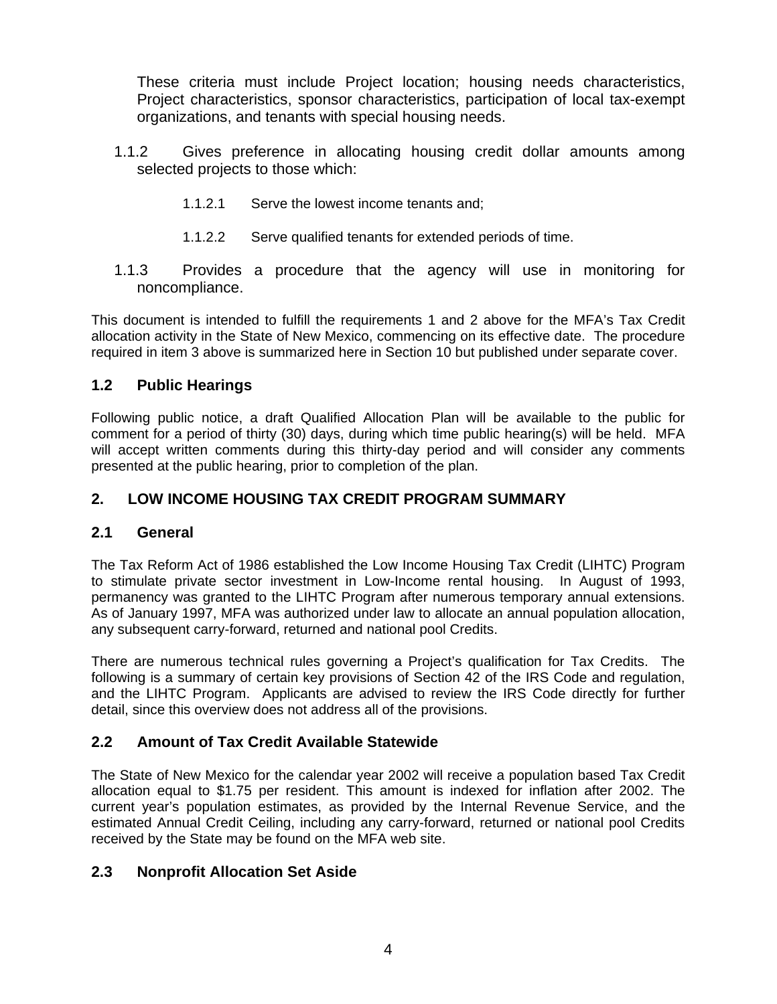These criteria must include Project location; housing needs characteristics, Project characteristics, sponsor characteristics, participation of local tax-exempt organizations, and tenants with special housing needs.

- 1.1.2 Gives preference in allocating housing credit dollar amounts among selected projects to those which:
	- 1.1.2.1 Serve the lowest income tenants and;
	- 1.1.2.2 Serve qualified tenants for extended periods of time.
- 1.1.3 Provides a procedure that the agency will use in monitoring for noncompliance.

This document is intended to fulfill the requirements 1 and 2 above for the MFA's Tax Credit allocation activity in the State of New Mexico, commencing on its effective date. The procedure required in item 3 above is summarized here in Section 10 but published under separate cover.

# **1.2 Public Hearings**

Following public notice, a draft Qualified Allocation Plan will be available to the public for comment for a period of thirty (30) days, during which time public hearing(s) will be held. MFA will accept written comments during this thirty-day period and will consider any comments presented at the public hearing, prior to completion of the plan.

# **2. LOW INCOME HOUSING TAX CREDIT PROGRAM SUMMARY**

### **2.1 General**

The Tax Reform Act of 1986 established the Low Income Housing Tax Credit (LIHTC) Program to stimulate private sector investment in Low-Income rental housing. In August of 1993, permanency was granted to the LIHTC Program after numerous temporary annual extensions. As of January 1997, MFA was authorized under law to allocate an annual population allocation, any subsequent carry-forward, returned and national pool Credits.

There are numerous technical rules governing a Project's qualification for Tax Credits. The following is a summary of certain key provisions of Section 42 of the IRS Code and regulation, and the LIHTC Program. Applicants are advised to review the IRS Code directly for further detail, since this overview does not address all of the provisions.

# **2.2 Amount of Tax Credit Available Statewide**

The State of New Mexico for the calendar year 2002 will receive a population based Tax Credit allocation equal to \$1.75 per resident. This amount is indexed for inflation after 2002. The current year's population estimates, as provided by the Internal Revenue Service, and the estimated Annual Credit Ceiling, including any carry-forward, returned or national pool Credits received by the State may be found on the MFA web site.

# **2.3 Nonprofit Allocation Set Aside**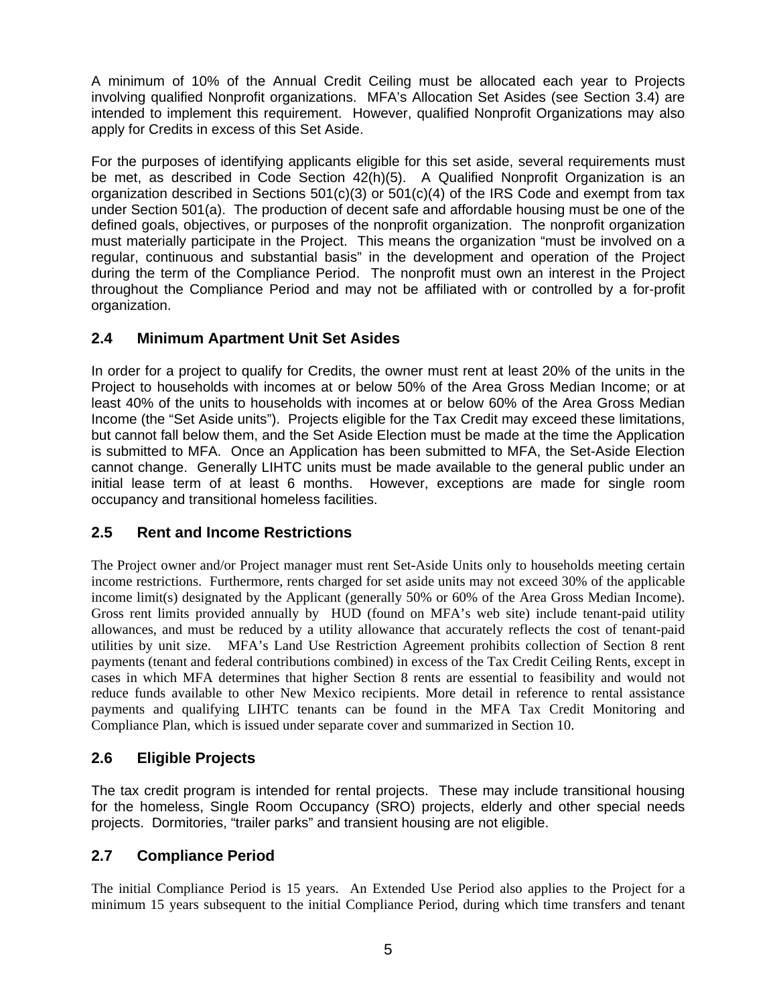A minimum of 10% of the Annual Credit Ceiling must be allocated each year to Projects involving qualified Nonprofit organizations. MFA's Allocation Set Asides (see Section 3.4) are intended to implement this requirement. However, qualified Nonprofit Organizations may also apply for Credits in excess of this Set Aside.

For the purposes of identifying applicants eligible for this set aside, several requirements must be met, as described in Code Section 42(h)(5). A Qualified Nonprofit Organization is an organization described in Sections  $501(c)(3)$  or  $501(c)(4)$  of the IRS Code and exempt from tax under Section 501(a). The production of decent safe and affordable housing must be one of the defined goals, objectives, or purposes of the nonprofit organization. The nonprofit organization must materially participate in the Project. This means the organization "must be involved on a regular, continuous and substantial basis" in the development and operation of the Project during the term of the Compliance Period. The nonprofit must own an interest in the Project throughout the Compliance Period and may not be affiliated with or controlled by a for-profit organization.

# **2.4 Minimum Apartment Unit Set Asides**

In order for a project to qualify for Credits, the owner must rent at least 20% of the units in the Project to households with incomes at or below 50% of the Area Gross Median Income; or at least 40% of the units to households with incomes at or below 60% of the Area Gross Median Income (the "Set Aside units"). Projects eligible for the Tax Credit may exceed these limitations, but cannot fall below them, and the Set Aside Election must be made at the time the Application is submitted to MFA. Once an Application has been submitted to MFA, the Set-Aside Election cannot change. Generally LIHTC units must be made available to the general public under an initial lease term of at least 6 months. However, exceptions are made for single room occupancy and transitional homeless facilities.

### **2.5 Rent and Income Restrictions**

The Project owner and/or Project manager must rent Set-Aside Units only to households meeting certain income restrictions. Furthermore, rents charged for set aside units may not exceed 30% of the applicable income limit(s) designated by the Applicant (generally 50% or 60% of the Area Gross Median Income). Gross rent limits provided annually by HUD (found on MFA's web site) include tenant-paid utility allowances, and must be reduced by a utility allowance that accurately reflects the cost of tenant-paid utilities by unit size. MFA's Land Use Restriction Agreement prohibits collection of Section 8 rent payments (tenant and federal contributions combined) in excess of the Tax Credit Ceiling Rents, except in cases in which MFA determines that higher Section 8 rents are essential to feasibility and would not reduce funds available to other New Mexico recipients. More detail in reference to rental assistance payments and qualifying LIHTC tenants can be found in the MFA Tax Credit Monitoring and Compliance Plan, which is issued under separate cover and summarized in Section 10.

### **2.6 Eligible Projects**

The tax credit program is intended for rental projects. These may include transitional housing for the homeless, Single Room Occupancy (SRO) projects, elderly and other special needs projects. Dormitories, "trailer parks" and transient housing are not eligible.

### **2.7 Compliance Period**

The initial Compliance Period is 15 years. An Extended Use Period also applies to the Project for a minimum 15 years subsequent to the initial Compliance Period, during which time transfers and tenant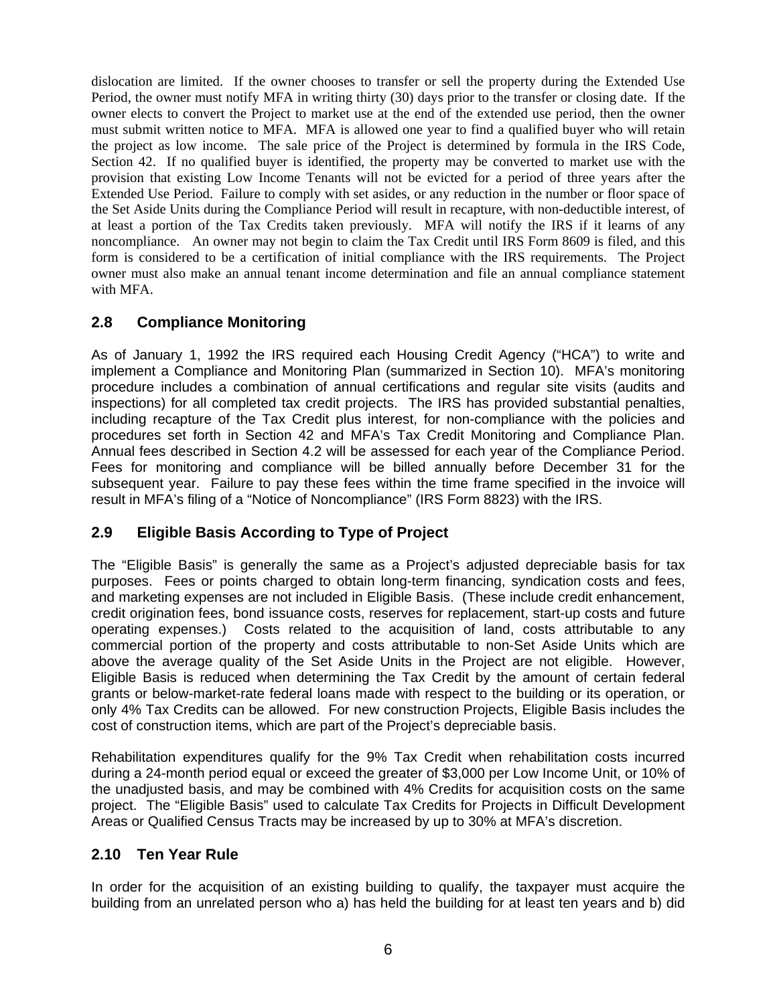dislocation are limited. If the owner chooses to transfer or sell the property during the Extended Use Period, the owner must notify MFA in writing thirty (30) days prior to the transfer or closing date. If the owner elects to convert the Project to market use at the end of the extended use period, then the owner must submit written notice to MFA. MFA is allowed one year to find a qualified buyer who will retain the project as low income. The sale price of the Project is determined by formula in the IRS Code, Section 42. If no qualified buyer is identified, the property may be converted to market use with the provision that existing Low Income Tenants will not be evicted for a period of three years after the Extended Use Period. Failure to comply with set asides, or any reduction in the number or floor space of the Set Aside Units during the Compliance Period will result in recapture, with non-deductible interest, of at least a portion of the Tax Credits taken previously. MFA will notify the IRS if it learns of any noncompliance. An owner may not begin to claim the Tax Credit until IRS Form 8609 is filed, and this form is considered to be a certification of initial compliance with the IRS requirements. The Project owner must also make an annual tenant income determination and file an annual compliance statement with MFA.

# **2.8 Compliance Monitoring**

As of January 1, 1992 the IRS required each Housing Credit Agency ("HCA") to write and implement a Compliance and Monitoring Plan (summarized in Section 10). MFA's monitoring procedure includes a combination of annual certifications and regular site visits (audits and inspections) for all completed tax credit projects. The IRS has provided substantial penalties, including recapture of the Tax Credit plus interest, for non-compliance with the policies and procedures set forth in Section 42 and MFA's Tax Credit Monitoring and Compliance Plan. Annual fees described in Section 4.2 will be assessed for each year of the Compliance Period. Fees for monitoring and compliance will be billed annually before December 31 for the subsequent year. Failure to pay these fees within the time frame specified in the invoice will result in MFA's filing of a "Notice of Noncompliance" (IRS Form 8823) with the IRS.

# **2.9 Eligible Basis According to Type of Project**

The "Eligible Basis" is generally the same as a Project's adjusted depreciable basis for tax purposes. Fees or points charged to obtain long-term financing, syndication costs and fees, and marketing expenses are not included in Eligible Basis. (These include credit enhancement, credit origination fees, bond issuance costs, reserves for replacement, start-up costs and future operating expenses.) Costs related to the acquisition of land, costs attributable to any commercial portion of the property and costs attributable to non-Set Aside Units which are above the average quality of the Set Aside Units in the Project are not eligible. However, Eligible Basis is reduced when determining the Tax Credit by the amount of certain federal grants or below-market-rate federal loans made with respect to the building or its operation, or only 4% Tax Credits can be allowed. For new construction Projects, Eligible Basis includes the cost of construction items, which are part of the Project's depreciable basis.

Rehabilitation expenditures qualify for the 9% Tax Credit when rehabilitation costs incurred during a 24-month period equal or exceed the greater of \$3,000 per Low Income Unit, or 10% of the unadjusted basis, and may be combined with 4% Credits for acquisition costs on the same project. The "Eligible Basis" used to calculate Tax Credits for Projects in Difficult Development Areas or Qualified Census Tracts may be increased by up to 30% at MFA's discretion.

### **2.10 Ten Year Rule**

In order for the acquisition of an existing building to qualify, the taxpayer must acquire the building from an unrelated person who a) has held the building for at least ten years and b) did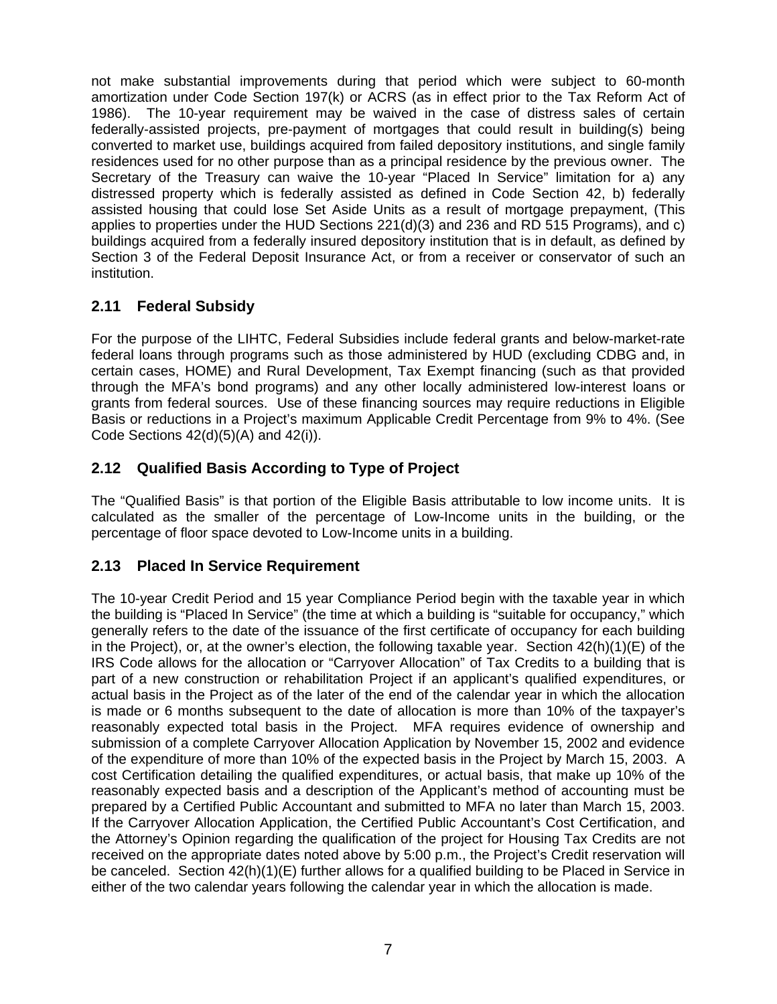not make substantial improvements during that period which were subject to 60-month amortization under Code Section 197(k) or ACRS (as in effect prior to the Tax Reform Act of 1986). The 10-year requirement may be waived in the case of distress sales of certain federally-assisted projects, pre-payment of mortgages that could result in building(s) being converted to market use, buildings acquired from failed depository institutions, and single family residences used for no other purpose than as a principal residence by the previous owner. The Secretary of the Treasury can waive the 10-year "Placed In Service" limitation for a) any distressed property which is federally assisted as defined in Code Section 42, b) federally assisted housing that could lose Set Aside Units as a result of mortgage prepayment, (This applies to properties under the HUD Sections  $221(d)(3)$  and  $236$  and RD 515 Programs), and c) buildings acquired from a federally insured depository institution that is in default, as defined by Section 3 of the Federal Deposit Insurance Act, or from a receiver or conservator of such an institution.

# **2.11 Federal Subsidy**

For the purpose of the LIHTC, Federal Subsidies include federal grants and below-market-rate federal loans through programs such as those administered by HUD (excluding CDBG and, in certain cases, HOME) and Rural Development, Tax Exempt financing (such as that provided through the MFA's bond programs) and any other locally administered low-interest loans or grants from federal sources. Use of these financing sources may require reductions in Eligible Basis or reductions in a Project's maximum Applicable Credit Percentage from 9% to 4%. (See Code Sections  $42(d)(5)(A)$  and  $42(i)$ ).

# **2.12 Qualified Basis According to Type of Project**

The "Qualified Basis" is that portion of the Eligible Basis attributable to low income units. It is calculated as the smaller of the percentage of Low-Income units in the building, or the percentage of floor space devoted to Low-Income units in a building.

# **2.13 Placed In Service Requirement**

The 10-year Credit Period and 15 year Compliance Period begin with the taxable year in which the building is "Placed In Service" (the time at which a building is "suitable for occupancy," which generally refers to the date of the issuance of the first certificate of occupancy for each building in the Project), or, at the owner's election, the following taxable year. Section  $42(h)(1)(E)$  of the IRS Code allows for the allocation or "Carryover Allocation" of Tax Credits to a building that is part of a new construction or rehabilitation Project if an applicant's qualified expenditures, or actual basis in the Project as of the later of the end of the calendar year in which the allocation is made or 6 months subsequent to the date of allocation is more than 10% of the taxpayer's reasonably expected total basis in the Project. MFA requires evidence of ownership and submission of a complete Carryover Allocation Application by November 15, 2002 and evidence of the expenditure of more than 10% of the expected basis in the Project by March 15, 2003. A cost Certification detailing the qualified expenditures, or actual basis, that make up 10% of the reasonably expected basis and a description of the Applicant's method of accounting must be prepared by a Certified Public Accountant and submitted to MFA no later than March 15, 2003. If the Carryover Allocation Application, the Certified Public Accountant's Cost Certification, and the Attorney's Opinion regarding the qualification of the project for Housing Tax Credits are not received on the appropriate dates noted above by 5:00 p.m., the Project's Credit reservation will be canceled. Section 42(h)(1)(E) further allows for a qualified building to be Placed in Service in either of the two calendar years following the calendar year in which the allocation is made.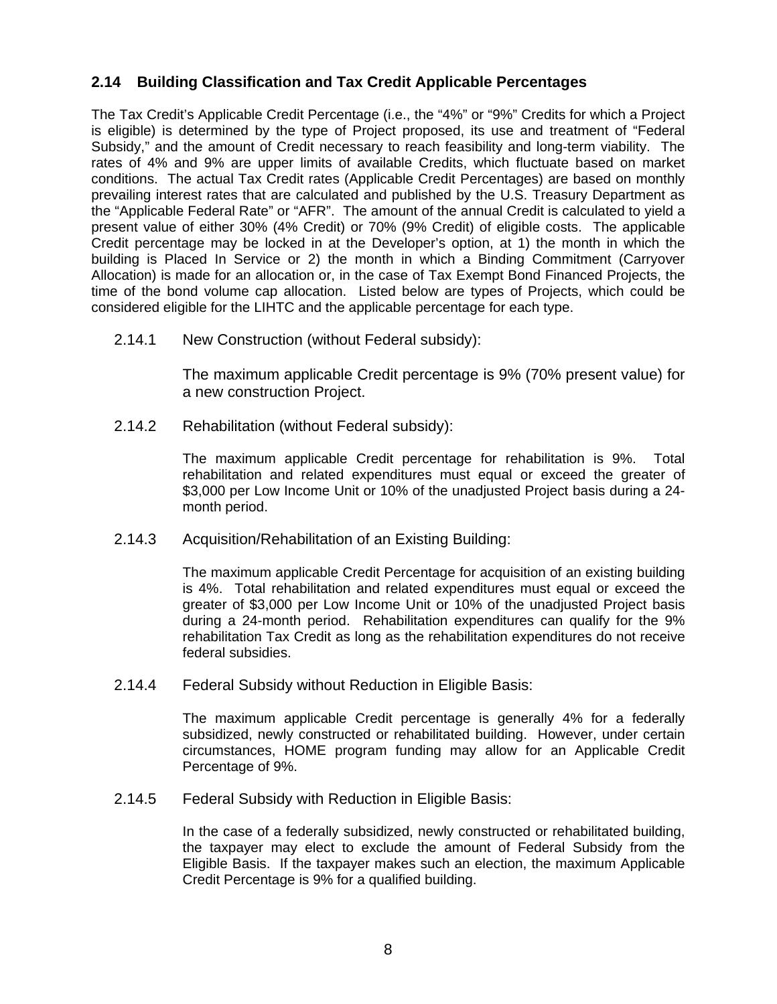# **2.14 Building Classification and Tax Credit Applicable Percentages**

The Tax Credit's Applicable Credit Percentage (i.e., the "4%" or "9%" Credits for which a Project is eligible) is determined by the type of Project proposed, its use and treatment of "Federal Subsidy," and the amount of Credit necessary to reach feasibility and long-term viability. The rates of 4% and 9% are upper limits of available Credits, which fluctuate based on market conditions. The actual Tax Credit rates (Applicable Credit Percentages) are based on monthly prevailing interest rates that are calculated and published by the U.S. Treasury Department as the "Applicable Federal Rate" or "AFR". The amount of the annual Credit is calculated to yield a present value of either 30% (4% Credit) or 70% (9% Credit) of eligible costs. The applicable Credit percentage may be locked in at the Developer's option, at 1) the month in which the building is Placed In Service or 2) the month in which a Binding Commitment (Carryover Allocation) is made for an allocation or, in the case of Tax Exempt Bond Financed Projects, the time of the bond volume cap allocation. Listed below are types of Projects, which could be considered eligible for the LIHTC and the applicable percentage for each type.

2.14.1 New Construction (without Federal subsidy):

The maximum applicable Credit percentage is 9% (70% present value) for a new construction Project.

2.14.2 Rehabilitation (without Federal subsidy):

The maximum applicable Credit percentage for rehabilitation is 9%. Total rehabilitation and related expenditures must equal or exceed the greater of \$3,000 per Low Income Unit or 10% of the unadjusted Project basis during a 24 month period.

2.14.3 Acquisition/Rehabilitation of an Existing Building:

The maximum applicable Credit Percentage for acquisition of an existing building is 4%. Total rehabilitation and related expenditures must equal or exceed the greater of \$3,000 per Low Income Unit or 10% of the unadjusted Project basis during a 24-month period. Rehabilitation expenditures can qualify for the 9% rehabilitation Tax Credit as long as the rehabilitation expenditures do not receive federal subsidies.

2.14.4 Federal Subsidy without Reduction in Eligible Basis:

The maximum applicable Credit percentage is generally 4% for a federally subsidized, newly constructed or rehabilitated building. However, under certain circumstances, HOME program funding may allow for an Applicable Credit Percentage of 9%.

2.14.5 Federal Subsidy with Reduction in Eligible Basis:

In the case of a federally subsidized, newly constructed or rehabilitated building, the taxpayer may elect to exclude the amount of Federal Subsidy from the Eligible Basis. If the taxpayer makes such an election, the maximum Applicable Credit Percentage is 9% for a qualified building.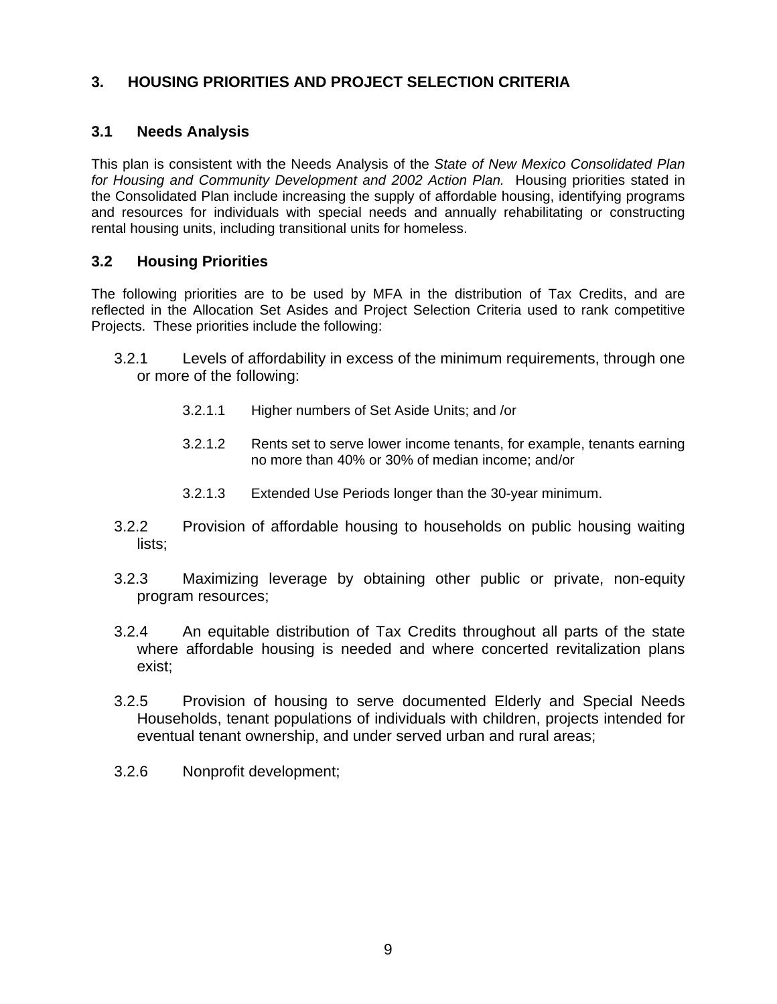# **3. HOUSING PRIORITIES AND PROJECT SELECTION CRITERIA**

# **3.1 Needs Analysis**

This plan is consistent with the Needs Analysis of the *State of New Mexico Consolidated Plan for Housing and Community Development and 2002 Action Plan.* Housing priorities stated in the Consolidated Plan include increasing the supply of affordable housing, identifying programs and resources for individuals with special needs and annually rehabilitating or constructing rental housing units, including transitional units for homeless.

# **3.2 Housing Priorities**

The following priorities are to be used by MFA in the distribution of Tax Credits, and are reflected in the Allocation Set Asides and Project Selection Criteria used to rank competitive Projects. These priorities include the following:

- 3.2.1 Levels of affordability in excess of the minimum requirements, through one or more of the following:
	- 3.2.1.1 Higher numbers of Set Aside Units; and /or
	- 3.2.1.2 Rents set to serve lower income tenants, for example, tenants earning no more than 40% or 30% of median income; and/or
	- 3.2.1.3 Extended Use Periods longer than the 30-year minimum.
- 3.2.2 Provision of affordable housing to households on public housing waiting lists;
- 3.2.3 Maximizing leverage by obtaining other public or private, non-equity program resources;
- 3.2.4 An equitable distribution of Tax Credits throughout all parts of the state where affordable housing is needed and where concerted revitalization plans exist;
- 3.2.5 Provision of housing to serve documented Elderly and Special Needs Households, tenant populations of individuals with children, projects intended for eventual tenant ownership, and under served urban and rural areas;
- 3.2.6 Nonprofit development;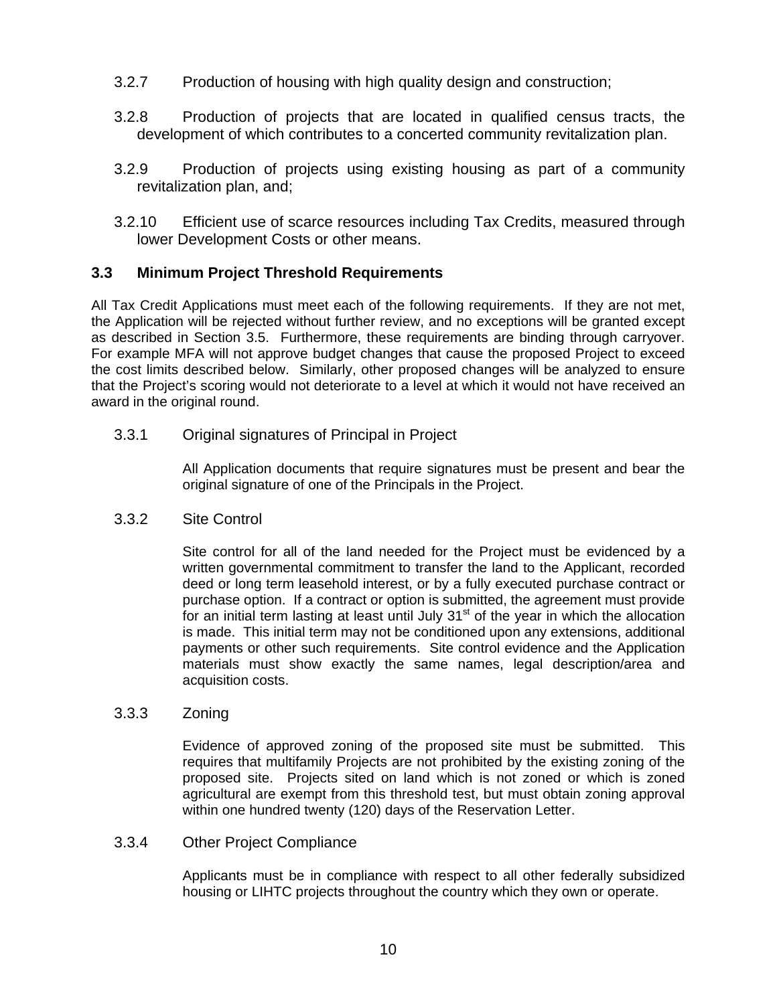- 3.2.7 Production of housing with high quality design and construction;
- 3.2.8 Production of projects that are located in qualified census tracts, the development of which contributes to a concerted community revitalization plan.
- 3.2.9 Production of projects using existing housing as part of a community revitalization plan, and;
- 3.2.10 Efficient use of scarce resources including Tax Credits, measured through lower Development Costs or other means.

#### **3.3 Minimum Project Threshold Requirements**

All Tax Credit Applications must meet each of the following requirements. If they are not met, the Application will be rejected without further review, and no exceptions will be granted except as described in Section 3.5. Furthermore, these requirements are binding through carryover. For example MFA will not approve budget changes that cause the proposed Project to exceed the cost limits described below. Similarly, other proposed changes will be analyzed to ensure that the Project's scoring would not deteriorate to a level at which it would not have received an award in the original round.

#### 3.3.1 Original signatures of Principal in Project

All Application documents that require signatures must be present and bear the original signature of one of the Principals in the Project.

#### 3.3.2 Site Control

Site control for all of the land needed for the Project must be evidenced by a written governmental commitment to transfer the land to the Applicant, recorded deed or long term leasehold interest, or by a fully executed purchase contract or purchase option. If a contract or option is submitted, the agreement must provide for an initial term lasting at least until July  $31<sup>st</sup>$  of the year in which the allocation is made. This initial term may not be conditioned upon any extensions, additional payments or other such requirements. Site control evidence and the Application materials must show exactly the same names, legal description/area and acquisition costs.

#### 3.3.3 Zoning

Evidence of approved zoning of the proposed site must be submitted. This requires that multifamily Projects are not prohibited by the existing zoning of the proposed site. Projects sited on land which is not zoned or which is zoned agricultural are exempt from this threshold test, but must obtain zoning approval within one hundred twenty (120) days of the Reservation Letter.

#### 3.3.4 Other Project Compliance

Applicants must be in compliance with respect to all other federally subsidized housing or LIHTC projects throughout the country which they own or operate.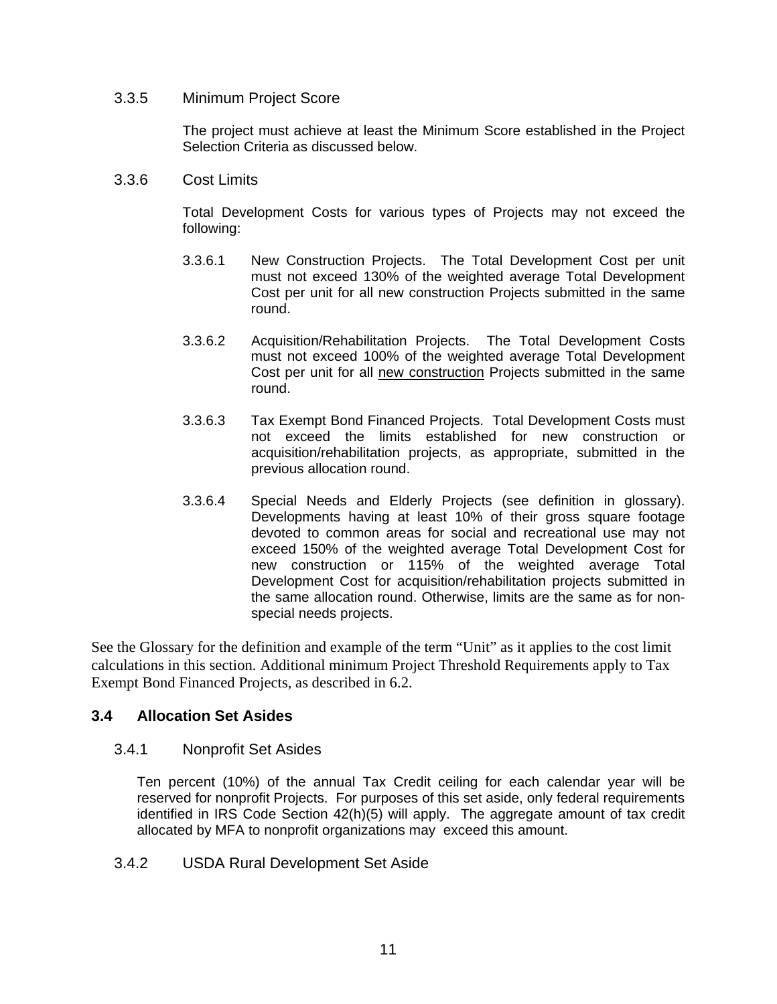#### 3.3.5 Minimum Project Score

The project must achieve at least the Minimum Score established in the Project Selection Criteria as discussed below.

#### 3.3.6 Cost Limits

Total Development Costs for various types of Projects may not exceed the following:

- 3.3.6.1 New Construction Projects. The Total Development Cost per unit must not exceed 130% of the weighted average Total Development Cost per unit for all new construction Projects submitted in the same round.
- 3.3.6.2 Acquisition/Rehabilitation Projects. The Total Development Costs must not exceed 100% of the weighted average Total Development Cost per unit for all new construction Projects submitted in the same round.
- 3.3.6.3 Tax Exempt Bond Financed Projects. Total Development Costs must not exceed the limits established for new construction or acquisition/rehabilitation projects, as appropriate, submitted in the previous allocation round.
- 3.3.6.4 Special Needs and Elderly Projects (see definition in glossary). Developments having at least 10% of their gross square footage devoted to common areas for social and recreational use may not exceed 150% of the weighted average Total Development Cost for new construction or 115% of the weighted average Total Development Cost for acquisition/rehabilitation projects submitted in the same allocation round. Otherwise, limits are the same as for nonspecial needs projects.

See the Glossary for the definition and example of the term "Unit" as it applies to the cost limit calculations in this section. Additional minimum Project Threshold Requirements apply to Tax Exempt Bond Financed Projects, as described in 6.2.

### **3.4 Allocation Set Asides**

#### 3.4.1 Nonprofit Set Asides

Ten percent (10%) of the annual Tax Credit ceiling for each calendar year will be reserved for nonprofit Projects. For purposes of this set aside, only federal requirements identified in IRS Code Section 42(h)(5) will apply. The aggregate amount of tax credit allocated by MFA to nonprofit organizations may exceed this amount.

3.4.2 USDA Rural Development Set Aside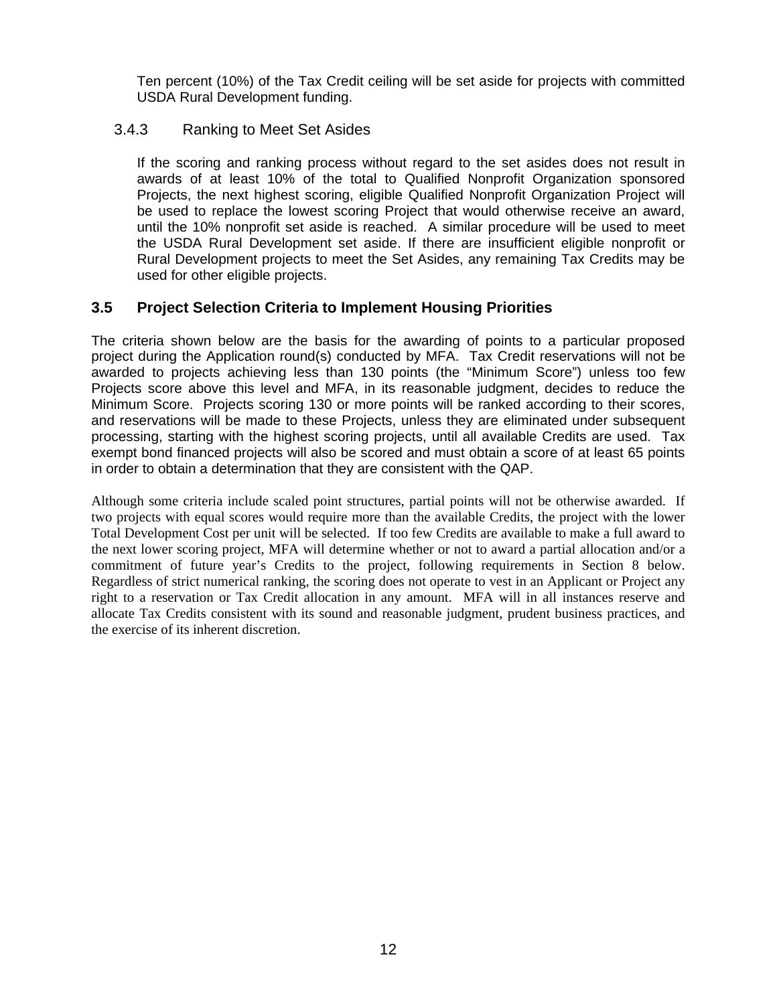Ten percent (10%) of the Tax Credit ceiling will be set aside for projects with committed USDA Rural Development funding.

### 3.4.3 Ranking to Meet Set Asides

If the scoring and ranking process without regard to the set asides does not result in awards of at least 10% of the total to Qualified Nonprofit Organization sponsored Projects, the next highest scoring, eligible Qualified Nonprofit Organization Project will be used to replace the lowest scoring Project that would otherwise receive an award, until the 10% nonprofit set aside is reached. A similar procedure will be used to meet the USDA Rural Development set aside. If there are insufficient eligible nonprofit or Rural Development projects to meet the Set Asides, any remaining Tax Credits may be used for other eligible projects.

# **3.5 Project Selection Criteria to Implement Housing Priorities**

The criteria shown below are the basis for the awarding of points to a particular proposed project during the Application round(s) conducted by MFA. Tax Credit reservations will not be awarded to projects achieving less than 130 points (the "Minimum Score") unless too few Projects score above this level and MFA, in its reasonable judgment, decides to reduce the Minimum Score. Projects scoring 130 or more points will be ranked according to their scores, and reservations will be made to these Projects, unless they are eliminated under subsequent processing, starting with the highest scoring projects, until all available Credits are used. Tax exempt bond financed projects will also be scored and must obtain a score of at least 65 points in order to obtain a determination that they are consistent with the QAP.

Although some criteria include scaled point structures, partial points will not be otherwise awarded. If two projects with equal scores would require more than the available Credits, the project with the lower Total Development Cost per unit will be selected. If too few Credits are available to make a full award to the next lower scoring project, MFA will determine whether or not to award a partial allocation and/or a commitment of future year's Credits to the project, following requirements in Section 8 below. Regardless of strict numerical ranking, the scoring does not operate to vest in an Applicant or Project any right to a reservation or Tax Credit allocation in any amount. MFA will in all instances reserve and allocate Tax Credits consistent with its sound and reasonable judgment, prudent business practices, and the exercise of its inherent discretion.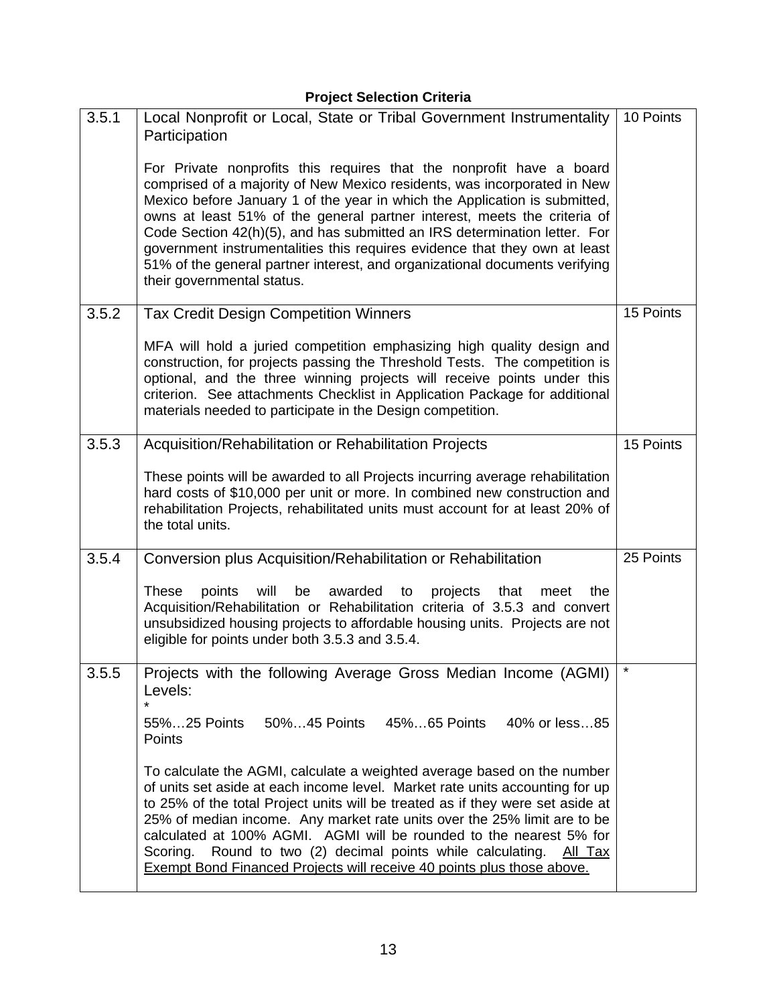# **Project Selection Criteria**

| 3.5.1 | Local Nonprofit or Local, State or Tribal Government Instrumentality<br>Participation                                                                                                                                                                                                                                                                                                                                                                                                                                                                                              | 10 Points |
|-------|------------------------------------------------------------------------------------------------------------------------------------------------------------------------------------------------------------------------------------------------------------------------------------------------------------------------------------------------------------------------------------------------------------------------------------------------------------------------------------------------------------------------------------------------------------------------------------|-----------|
|       | For Private nonprofits this requires that the nonprofit have a board<br>comprised of a majority of New Mexico residents, was incorporated in New<br>Mexico before January 1 of the year in which the Application is submitted,<br>owns at least 51% of the general partner interest, meets the criteria of<br>Code Section 42(h)(5), and has submitted an IRS determination letter. For<br>government instrumentalities this requires evidence that they own at least<br>51% of the general partner interest, and organizational documents verifying<br>their governmental status. |           |
| 3.5.2 | <b>Tax Credit Design Competition Winners</b>                                                                                                                                                                                                                                                                                                                                                                                                                                                                                                                                       | 15 Points |
|       | MFA will hold a juried competition emphasizing high quality design and<br>construction, for projects passing the Threshold Tests. The competition is<br>optional, and the three winning projects will receive points under this<br>criterion. See attachments Checklist in Application Package for additional<br>materials needed to participate in the Design competition.                                                                                                                                                                                                        |           |
| 3.5.3 | Acquisition/Rehabilitation or Rehabilitation Projects                                                                                                                                                                                                                                                                                                                                                                                                                                                                                                                              | 15 Points |
|       | These points will be awarded to all Projects incurring average rehabilitation<br>hard costs of \$10,000 per unit or more. In combined new construction and<br>rehabilitation Projects, rehabilitated units must account for at least 20% of<br>the total units.                                                                                                                                                                                                                                                                                                                    |           |
| 3.5.4 | Conversion plus Acquisition/Rehabilitation or Rehabilitation                                                                                                                                                                                                                                                                                                                                                                                                                                                                                                                       | 25 Points |
|       | <b>These</b><br>points<br>will<br>be<br>awarded<br>projects<br>to<br>that<br>meet<br>the<br>Acquisition/Rehabilitation or Rehabilitation criteria of 3.5.3 and convert<br>unsubsidized housing projects to affordable housing units. Projects are not<br>eligible for points under both 3.5.3 and 3.5.4.                                                                                                                                                                                                                                                                           |           |
| 3.5.5 | Projects with the following Average Gross Median Income (AGMI)<br>Levels:<br>$\star$                                                                                                                                                                                                                                                                                                                                                                                                                                                                                               | $  *$     |
|       | 40% or less85<br>55%25 Points<br>50%45 Points<br>45%65 Points<br>Points                                                                                                                                                                                                                                                                                                                                                                                                                                                                                                            |           |
|       | To calculate the AGMI, calculate a weighted average based on the number<br>of units set aside at each income level. Market rate units accounting for up<br>to 25% of the total Project units will be treated as if they were set aside at<br>25% of median income. Any market rate units over the 25% limit are to be<br>calculated at 100% AGMI. AGMI will be rounded to the nearest 5% for<br>Round to two (2) decimal points while calculating.<br>Scoring.<br><u>All Tax</u><br><b>Exempt Bond Financed Projects will receive 40 points plus those above.</b>                  |           |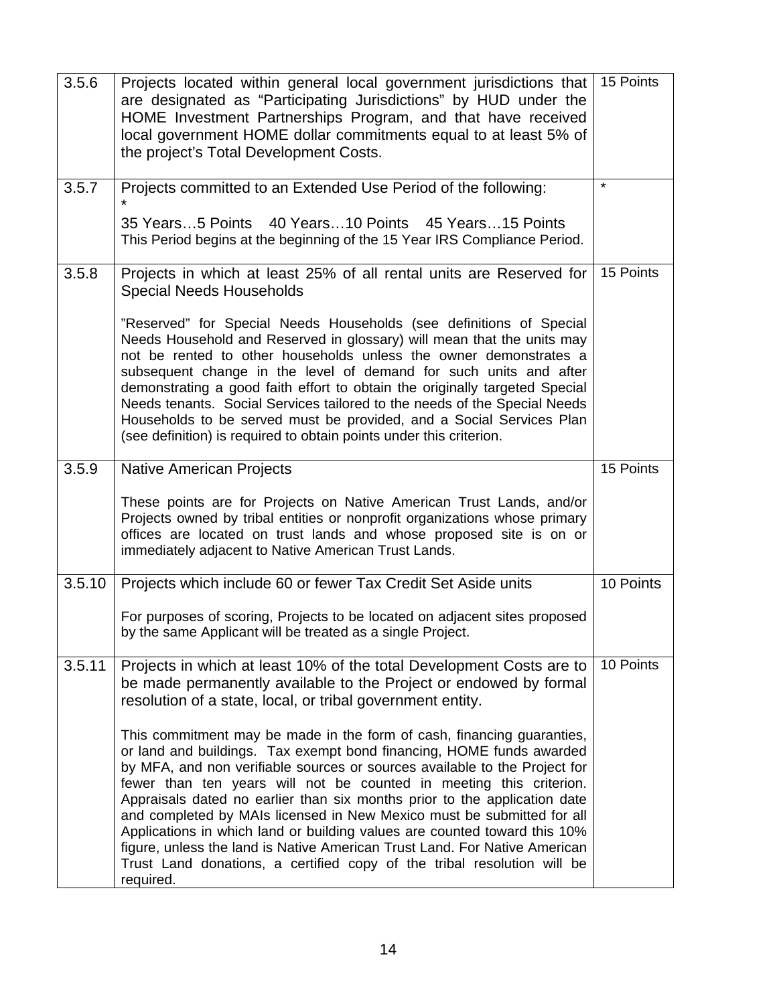| 3.5.6  | Projects located within general local government jurisdictions that<br>are designated as "Participating Jurisdictions" by HUD under the<br>HOME Investment Partnerships Program, and that have received<br>local government HOME dollar commitments equal to at least 5% of<br>the project's Total Development Costs.                                                                                                                                                                                                                                                                                                                                                                                         | 15 Points |  |  |
|--------|---------------------------------------------------------------------------------------------------------------------------------------------------------------------------------------------------------------------------------------------------------------------------------------------------------------------------------------------------------------------------------------------------------------------------------------------------------------------------------------------------------------------------------------------------------------------------------------------------------------------------------------------------------------------------------------------------------------|-----------|--|--|
| 3.5.7  | Projects committed to an Extended Use Period of the following:                                                                                                                                                                                                                                                                                                                                                                                                                                                                                                                                                                                                                                                |           |  |  |
|        | 35 Years5 Points 40 Years10 Points 45 Years15 Points<br>This Period begins at the beginning of the 15 Year IRS Compliance Period.                                                                                                                                                                                                                                                                                                                                                                                                                                                                                                                                                                             |           |  |  |
| 3.5.8  | Projects in which at least 25% of all rental units are Reserved for<br><b>Special Needs Households</b>                                                                                                                                                                                                                                                                                                                                                                                                                                                                                                                                                                                                        |           |  |  |
|        | "Reserved" for Special Needs Households (see definitions of Special<br>Needs Household and Reserved in glossary) will mean that the units may<br>not be rented to other households unless the owner demonstrates a<br>subsequent change in the level of demand for such units and after<br>demonstrating a good faith effort to obtain the originally targeted Special<br>Needs tenants. Social Services tailored to the needs of the Special Needs<br>Households to be served must be provided, and a Social Services Plan<br>(see definition) is required to obtain points under this criterion.                                                                                                            |           |  |  |
| 3.5.9  | <b>Native American Projects</b>                                                                                                                                                                                                                                                                                                                                                                                                                                                                                                                                                                                                                                                                               |           |  |  |
|        | These points are for Projects on Native American Trust Lands, and/or<br>Projects owned by tribal entities or nonprofit organizations whose primary<br>offices are located on trust lands and whose proposed site is on or<br>immediately adjacent to Native American Trust Lands.                                                                                                                                                                                                                                                                                                                                                                                                                             |           |  |  |
| 3.5.10 | Projects which include 60 or fewer Tax Credit Set Aside units                                                                                                                                                                                                                                                                                                                                                                                                                                                                                                                                                                                                                                                 |           |  |  |
|        | For purposes of scoring, Projects to be located on adjacent sites proposed<br>by the same Applicant will be treated as a single Project.                                                                                                                                                                                                                                                                                                                                                                                                                                                                                                                                                                      |           |  |  |
| 3.5.11 | Projects in which at least 10% of the total Development Costs are to<br>be made permanently available to the Project or endowed by formal<br>resolution of a state, local, or tribal government entity.                                                                                                                                                                                                                                                                                                                                                                                                                                                                                                       | 10 Points |  |  |
|        | This commitment may be made in the form of cash, financing guaranties,<br>or land and buildings. Tax exempt bond financing, HOME funds awarded<br>by MFA, and non verifiable sources or sources available to the Project for<br>fewer than ten years will not be counted in meeting this criterion.<br>Appraisals dated no earlier than six months prior to the application date<br>and completed by MAIs licensed in New Mexico must be submitted for all<br>Applications in which land or building values are counted toward this 10%<br>figure, unless the land is Native American Trust Land. For Native American<br>Trust Land donations, a certified copy of the tribal resolution will be<br>required. |           |  |  |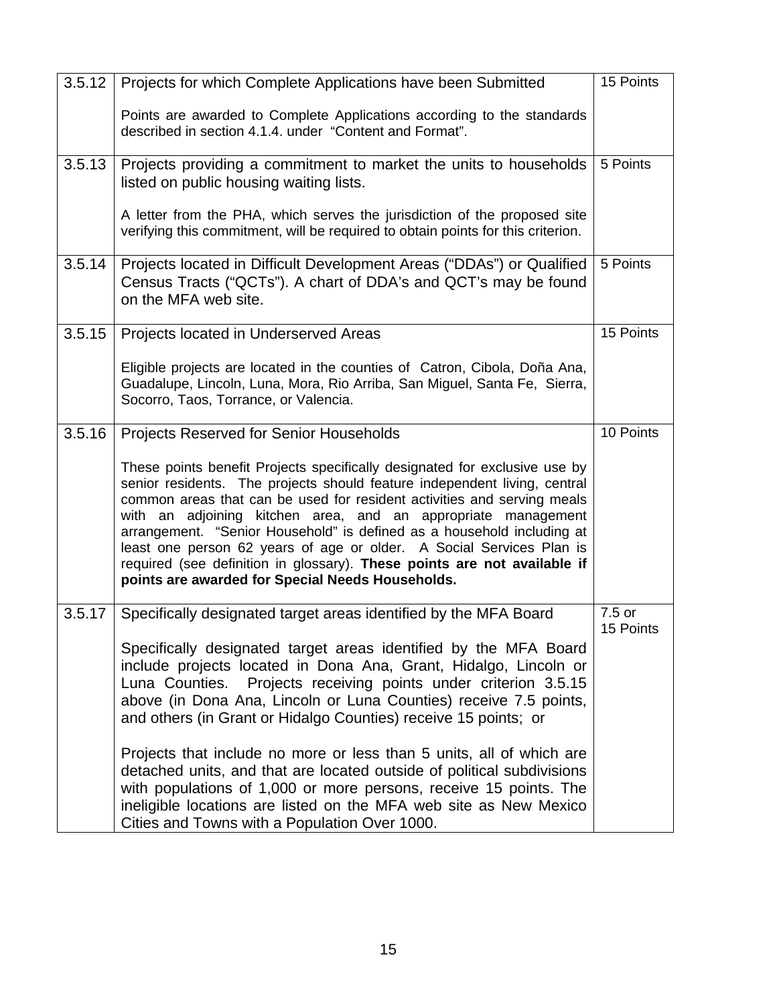| 3.5.12 | Projects for which Complete Applications have been Submitted                                                                                                                                                                                                                                                                                                                                                                                                                                                                                                                          |                     |  |  |  |
|--------|---------------------------------------------------------------------------------------------------------------------------------------------------------------------------------------------------------------------------------------------------------------------------------------------------------------------------------------------------------------------------------------------------------------------------------------------------------------------------------------------------------------------------------------------------------------------------------------|---------------------|--|--|--|
|        | Points are awarded to Complete Applications according to the standards<br>described in section 4.1.4. under "Content and Format".                                                                                                                                                                                                                                                                                                                                                                                                                                                     |                     |  |  |  |
| 3.5.13 | Projects providing a commitment to market the units to households<br>listed on public housing waiting lists.                                                                                                                                                                                                                                                                                                                                                                                                                                                                          |                     |  |  |  |
|        | A letter from the PHA, which serves the jurisdiction of the proposed site<br>verifying this commitment, will be required to obtain points for this criterion.                                                                                                                                                                                                                                                                                                                                                                                                                         |                     |  |  |  |
| 3.5.14 | Projects located in Difficult Development Areas ("DDAs") or Qualified<br>Census Tracts ("QCTs"). A chart of DDA's and QCT's may be found<br>on the MFA web site.                                                                                                                                                                                                                                                                                                                                                                                                                      |                     |  |  |  |
| 3.5.15 | Projects located in Underserved Areas                                                                                                                                                                                                                                                                                                                                                                                                                                                                                                                                                 |                     |  |  |  |
|        | Eligible projects are located in the counties of Catron, Cibola, Doña Ana,<br>Guadalupe, Lincoln, Luna, Mora, Rio Arriba, San Miguel, Santa Fe, Sierra,<br>Socorro, Taos, Torrance, or Valencia.                                                                                                                                                                                                                                                                                                                                                                                      |                     |  |  |  |
| 3.5.16 | <b>Projects Reserved for Senior Households</b>                                                                                                                                                                                                                                                                                                                                                                                                                                                                                                                                        | 10 Points           |  |  |  |
|        | These points benefit Projects specifically designated for exclusive use by<br>senior residents. The projects should feature independent living, central<br>common areas that can be used for resident activities and serving meals<br>with an adjoining kitchen area, and an appropriate management<br>arrangement. "Senior Household" is defined as a household including at<br>least one person 62 years of age or older. A Social Services Plan is<br>required (see definition in glossary). These points are not available if<br>points are awarded for Special Needs Households. |                     |  |  |  |
| 3.5.17 | Specifically designated target areas identified by the MFA Board                                                                                                                                                                                                                                                                                                                                                                                                                                                                                                                      | 7.5 or<br>15 Points |  |  |  |
|        | Specifically designated target areas identified by the MFA Board<br>include projects located in Dona Ana, Grant, Hidalgo, Lincoln or<br>Projects receiving points under criterion 3.5.15<br>Luna Counties.<br>above (in Dona Ana, Lincoln or Luna Counties) receive 7.5 points,<br>and others (in Grant or Hidalgo Counties) receive 15 points; or                                                                                                                                                                                                                                    |                     |  |  |  |
|        | Projects that include no more or less than 5 units, all of which are<br>detached units, and that are located outside of political subdivisions<br>with populations of 1,000 or more persons, receive 15 points. The<br>ineligible locations are listed on the MFA web site as New Mexico<br>Cities and Towns with a Population Over 1000.                                                                                                                                                                                                                                             |                     |  |  |  |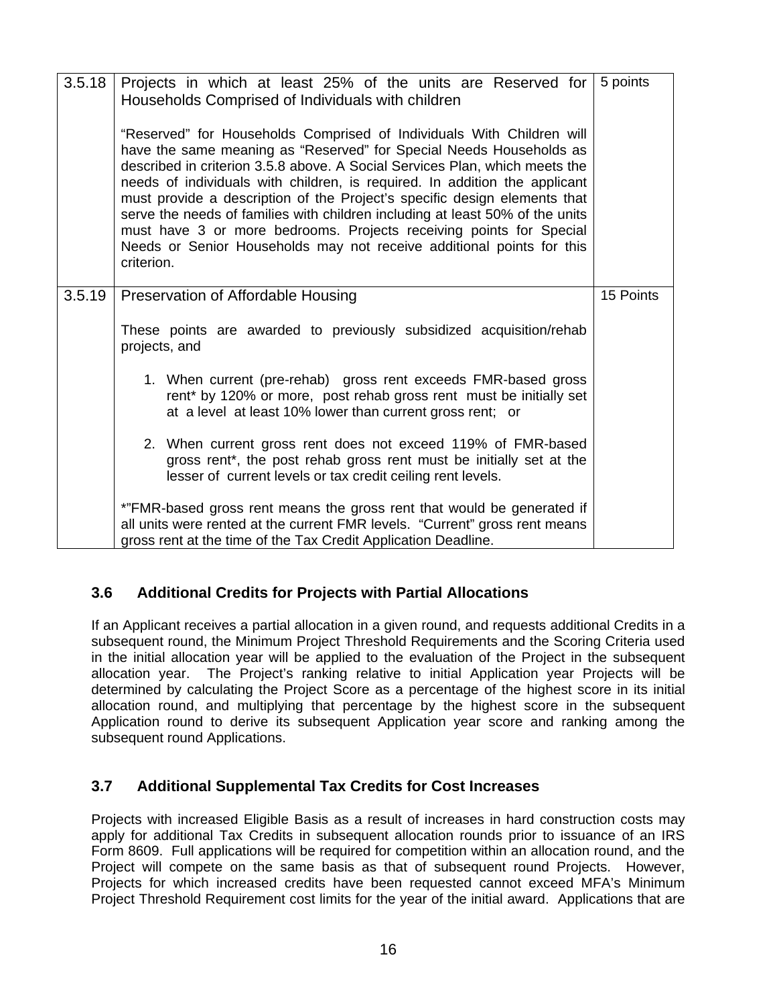| 3.5.18 | Projects in which at least 25% of the units are Reserved for<br>Households Comprised of Individuals with children<br>"Reserved" for Households Comprised of Individuals With Children will<br>have the same meaning as "Reserved" for Special Needs Households as<br>described in criterion 3.5.8 above. A Social Services Plan, which meets the<br>needs of individuals with children, is required. In addition the applicant<br>must provide a description of the Project's specific design elements that<br>serve the needs of families with children including at least 50% of the units<br>must have 3 or more bedrooms. Projects receiving points for Special<br>Needs or Senior Households may not receive additional points for this<br>criterion. | 5 points |  |  |  |
|--------|------------------------------------------------------------------------------------------------------------------------------------------------------------------------------------------------------------------------------------------------------------------------------------------------------------------------------------------------------------------------------------------------------------------------------------------------------------------------------------------------------------------------------------------------------------------------------------------------------------------------------------------------------------------------------------------------------------------------------------------------------------|----------|--|--|--|
| 3.5.19 | Preservation of Affordable Housing                                                                                                                                                                                                                                                                                                                                                                                                                                                                                                                                                                                                                                                                                                                         |          |  |  |  |
|        | These points are awarded to previously subsidized acquisition/rehab<br>projects, and                                                                                                                                                                                                                                                                                                                                                                                                                                                                                                                                                                                                                                                                       |          |  |  |  |
|        | 1. When current (pre-rehab) gross rent exceeds FMR-based gross<br>rent* by 120% or more, post rehab gross rent must be initially set<br>at a level at least 10% lower than current gross rent; or                                                                                                                                                                                                                                                                                                                                                                                                                                                                                                                                                          |          |  |  |  |
|        | 2. When current gross rent does not exceed 119% of FMR-based<br>gross rent*, the post rehab gross rent must be initially set at the<br>lesser of current levels or tax credit ceiling rent levels.                                                                                                                                                                                                                                                                                                                                                                                                                                                                                                                                                         |          |  |  |  |
|        | *"FMR-based gross rent means the gross rent that would be generated if<br>all units were rented at the current FMR levels. "Current" gross rent means<br>gross rent at the time of the Tax Credit Application Deadline.                                                                                                                                                                                                                                                                                                                                                                                                                                                                                                                                    |          |  |  |  |

# **3.6 Additional Credits for Projects with Partial Allocations**

If an Applicant receives a partial allocation in a given round, and requests additional Credits in a subsequent round, the Minimum Project Threshold Requirements and the Scoring Criteria used in the initial allocation year will be applied to the evaluation of the Project in the subsequent allocation year. The Project's ranking relative to initial Application year Projects will be determined by calculating the Project Score as a percentage of the highest score in its initial allocation round, and multiplying that percentage by the highest score in the subsequent Application round to derive its subsequent Application year score and ranking among the subsequent round Applications.

### **3.7 Additional Supplemental Tax Credits for Cost Increases**

Projects with increased Eligible Basis as a result of increases in hard construction costs may apply for additional Tax Credits in subsequent allocation rounds prior to issuance of an IRS Form 8609. Full applications will be required for competition within an allocation round, and the Project will compete on the same basis as that of subsequent round Projects. However, Projects for which increased credits have been requested cannot exceed MFA's Minimum Project Threshold Requirement cost limits for the year of the initial award. Applications that are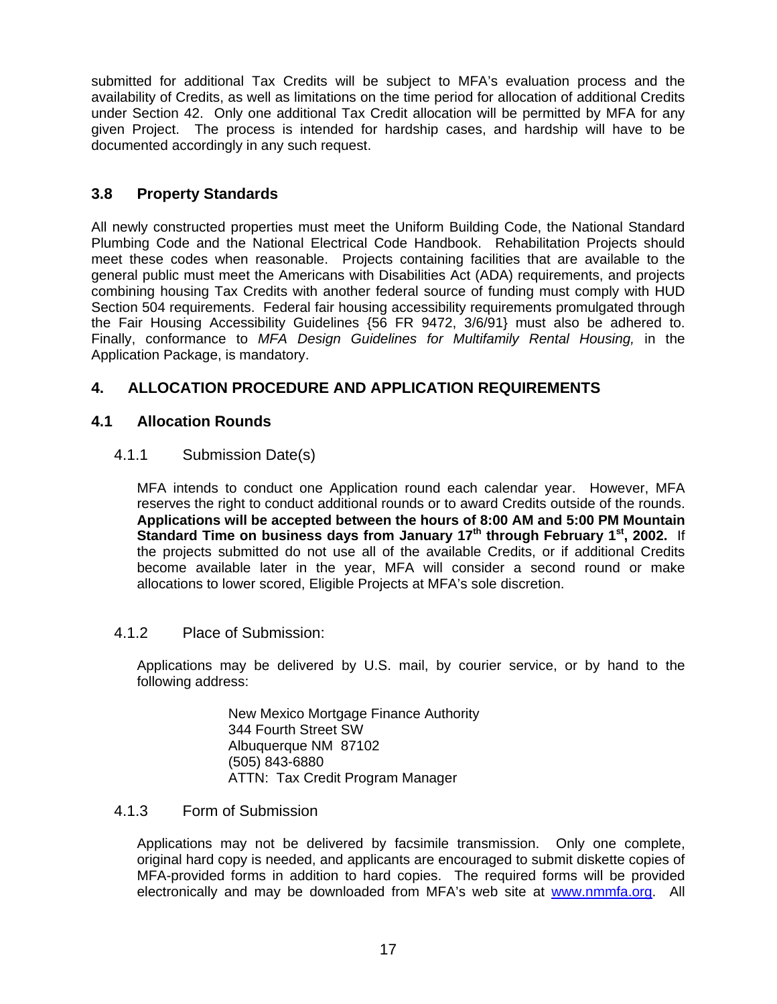submitted for additional Tax Credits will be subject to MFA's evaluation process and the availability of Credits, as well as limitations on the time period for allocation of additional Credits under Section 42. Only one additional Tax Credit allocation will be permitted by MFA for any given Project. The process is intended for hardship cases, and hardship will have to be documented accordingly in any such request.

### **3.8 Property Standards**

All newly constructed properties must meet the Uniform Building Code, the National Standard Plumbing Code and the National Electrical Code Handbook. Rehabilitation Projects should meet these codes when reasonable. Projects containing facilities that are available to the general public must meet the Americans with Disabilities Act (ADA) requirements, and projects combining housing Tax Credits with another federal source of funding must comply with HUD Section 504 requirements. Federal fair housing accessibility requirements promulgated through the Fair Housing Accessibility Guidelines {56 FR 9472, 3/6/91} must also be adhered to. Finally, conformance to *MFA Design Guidelines for Multifamily Rental Housing,* in the Application Package, is mandatory.

# **4. ALLOCATION PROCEDURE AND APPLICATION REQUIREMENTS**

#### **4.1 Allocation Rounds**

#### 4.1.1 Submission Date(s)

MFA intends to conduct one Application round each calendar year. However, MFA reserves the right to conduct additional rounds or to award Credits outside of the rounds. **Applications will be accepted between the hours of 8:00 AM and 5:00 PM Mountain Standard Time on business days from January 17th through February 1st, 2002.** If the projects submitted do not use all of the available Credits, or if additional Credits become available later in the year, MFA will consider a second round or make allocations to lower scored, Eligible Projects at MFA's sole discretion.

#### 4.1.2 Place of Submission:

Applications may be delivered by U.S. mail, by courier service, or by hand to the following address:

> New Mexico Mortgage Finance Authority 344 Fourth Street SW Albuquerque NM 87102 (505) 843-6880 ATTN: Tax Credit Program Manager

#### 4.1.3 Form of Submission

Applications may not be delivered by facsimile transmission. Only one complete, original hard copy is needed, and applicants are encouraged to submit diskette copies of MFA-provided forms in addition to hard copies. The required forms will be provided electronically and may be downloaded from MFA's web site at www.nmmfa.org. All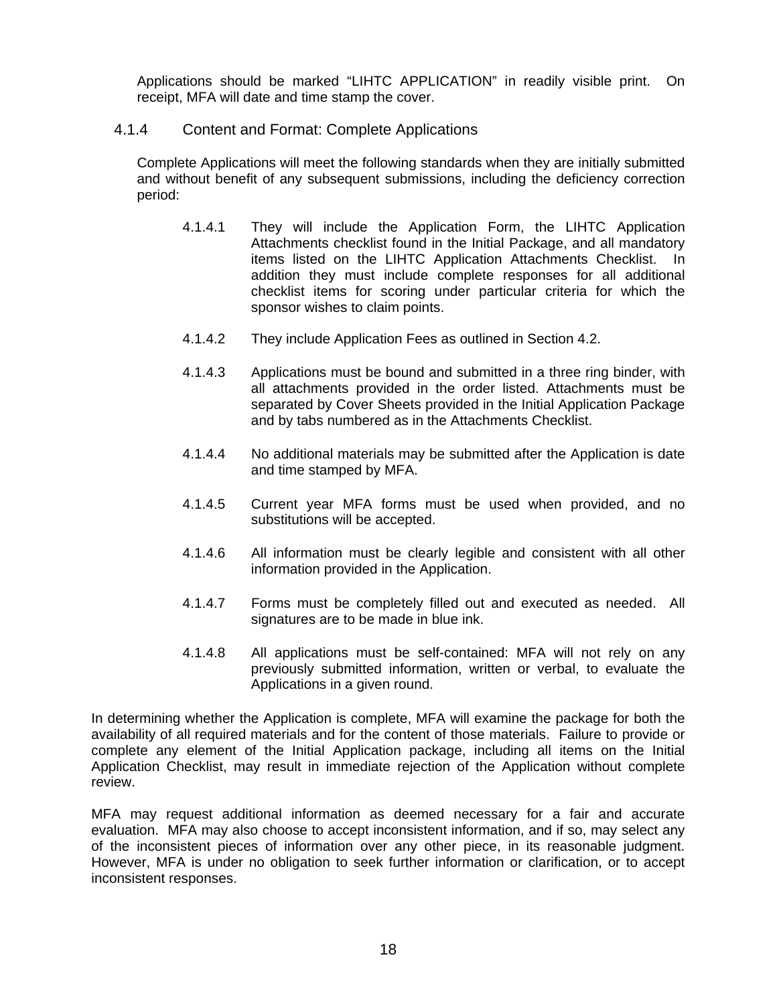Applications should be marked "LIHTC APPLICATION" in readily visible print. On receipt, MFA will date and time stamp the cover.

#### 4.1.4 Content and Format: Complete Applications

Complete Applications will meet the following standards when they are initially submitted and without benefit of any subsequent submissions, including the deficiency correction period:

- 4.1.4.1 They will include the Application Form, the LIHTC Application Attachments checklist found in the Initial Package, and all mandatory items listed on the LIHTC Application Attachments Checklist. In addition they must include complete responses for all additional checklist items for scoring under particular criteria for which the sponsor wishes to claim points.
- 4.1.4.2 They include Application Fees as outlined in Section 4.2.
- 4.1.4.3 Applications must be bound and submitted in a three ring binder, with all attachments provided in the order listed. Attachments must be separated by Cover Sheets provided in the Initial Application Package and by tabs numbered as in the Attachments Checklist.
- 4.1.4.4 No additional materials may be submitted after the Application is date and time stamped by MFA.
- 4.1.4.5 Current year MFA forms must be used when provided, and no substitutions will be accepted.
- 4.1.4.6 All information must be clearly legible and consistent with all other information provided in the Application.
- 4.1.4.7 Forms must be completely filled out and executed as needed. All signatures are to be made in blue ink.
- 4.1.4.8 All applications must be self-contained: MFA will not rely on any previously submitted information, written or verbal, to evaluate the Applications in a given round.

In determining whether the Application is complete, MFA will examine the package for both the availability of all required materials and for the content of those materials. Failure to provide or complete any element of the Initial Application package, including all items on the Initial Application Checklist, may result in immediate rejection of the Application without complete review.

MFA may request additional information as deemed necessary for a fair and accurate evaluation. MFA may also choose to accept inconsistent information, and if so, may select any of the inconsistent pieces of information over any other piece, in its reasonable judgment. However, MFA is under no obligation to seek further information or clarification, or to accept inconsistent responses.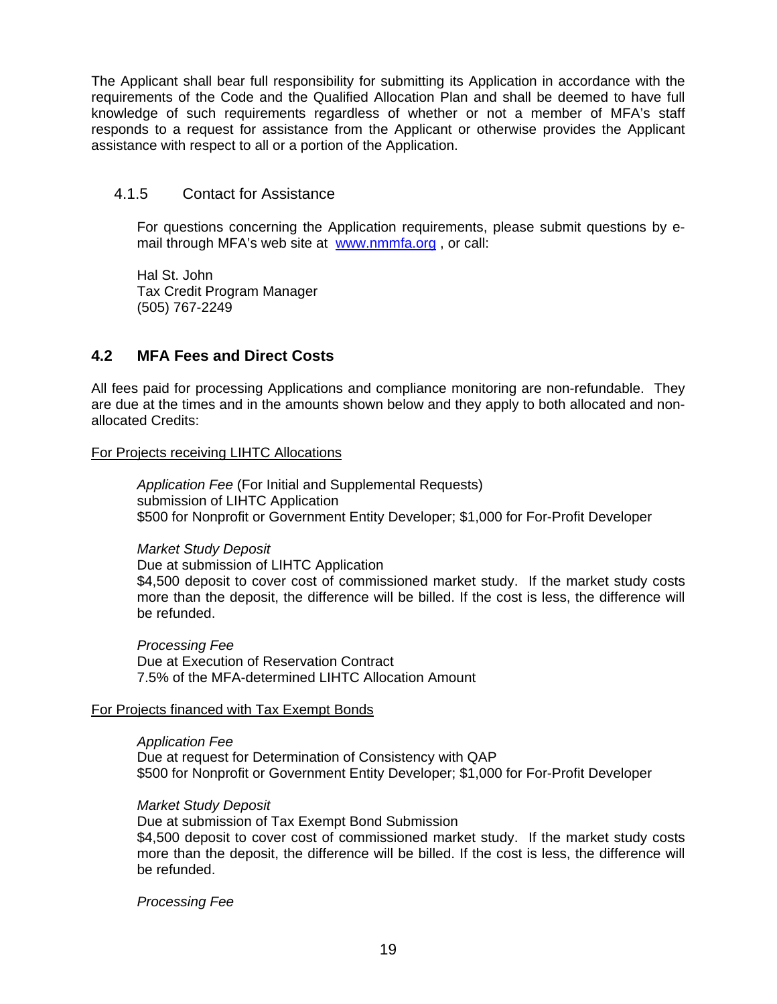The Applicant shall bear full responsibility for submitting its Application in accordance with the requirements of the Code and the Qualified Allocation Plan and shall be deemed to have full knowledge of such requirements regardless of whether or not a member of MFA's staff responds to a request for assistance from the Applicant or otherwise provides the Applicant assistance with respect to all or a portion of the Application.

#### 4.1.5 Contact for Assistance

For questions concerning the Application requirements, please submit questions by email through MFA's web site at www.nmmfa.org, or call:

Hal St. John Tax Credit Program Manager (505) 767-2249

### **4.2 MFA Fees and Direct Costs**

All fees paid for processing Applications and compliance monitoring are non-refundable. They are due at the times and in the amounts shown below and they apply to both allocated and nonallocated Credits:

#### For Projects receiving LIHTC Allocations

*Application Fee* (For Initial and Supplemental Requests) submission of LIHTC Application \$500 for Nonprofit or Government Entity Developer; \$1,000 for For-Profit Developer

#### *Market Study Deposit*

Due at submission of LIHTC Application \$4,500 deposit to cover cost of commissioned market study. If the market study costs more than the deposit, the difference will be billed. If the cost is less, the difference will be refunded.

*Processing Fee* Due at Execution of Reservation Contract 7.5% of the MFA-determined LIHTC Allocation Amount

#### For Projects financed with Tax Exempt Bonds

*Application Fee*  Due at request for Determination of Consistency with QAP \$500 for Nonprofit or Government Entity Developer; \$1,000 for For-Profit Developer

#### *Market Study Deposit*

Due at submission of Tax Exempt Bond Submission \$4,500 deposit to cover cost of commissioned market study. If the market study costs more than the deposit, the difference will be billed. If the cost is less, the difference will be refunded.

*Processing Fee*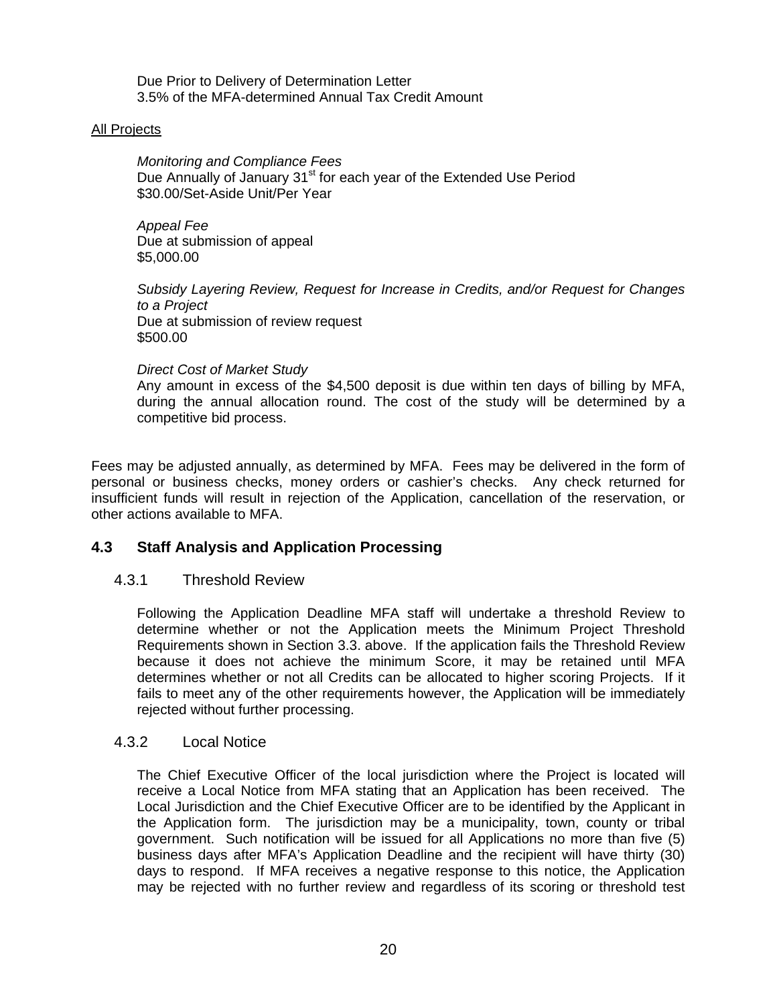Due Prior to Delivery of Determination Letter 3.5% of the MFA-determined Annual Tax Credit Amount

#### All Projects

*Monitoring and Compliance Fees*  Due Annually of January 31<sup>st</sup> for each year of the Extended Use Period \$30.00/Set-Aside Unit/Per Year

*Appeal Fee*  Due at submission of appeal \$5,000.00

*Subsidy Layering Review, Request for Increase in Credits, and/or Request for Changes to a Project*  Due at submission of review request \$500.00

#### *Direct Cost of Market Study*

Any amount in excess of the \$4,500 deposit is due within ten days of billing by MFA, during the annual allocation round. The cost of the study will be determined by a competitive bid process.

Fees may be adjusted annually, as determined by MFA. Fees may be delivered in the form of personal or business checks, money orders or cashier's checks. Any check returned for insufficient funds will result in rejection of the Application, cancellation of the reservation, or other actions available to MFA.

#### **4.3 Staff Analysis and Application Processing**

#### 4.3.1 Threshold Review

Following the Application Deadline MFA staff will undertake a threshold Review to determine whether or not the Application meets the Minimum Project Threshold Requirements shown in Section 3.3. above. If the application fails the Threshold Review because it does not achieve the minimum Score, it may be retained until MFA determines whether or not all Credits can be allocated to higher scoring Projects. If it fails to meet any of the other requirements however, the Application will be immediately rejected without further processing.

#### 4.3.2 Local Notice

The Chief Executive Officer of the local jurisdiction where the Project is located will receive a Local Notice from MFA stating that an Application has been received. The Local Jurisdiction and the Chief Executive Officer are to be identified by the Applicant in the Application form. The jurisdiction may be a municipality, town, county or tribal government. Such notification will be issued for all Applications no more than five (5) business days after MFA's Application Deadline and the recipient will have thirty (30) days to respond. If MFA receives a negative response to this notice, the Application may be rejected with no further review and regardless of its scoring or threshold test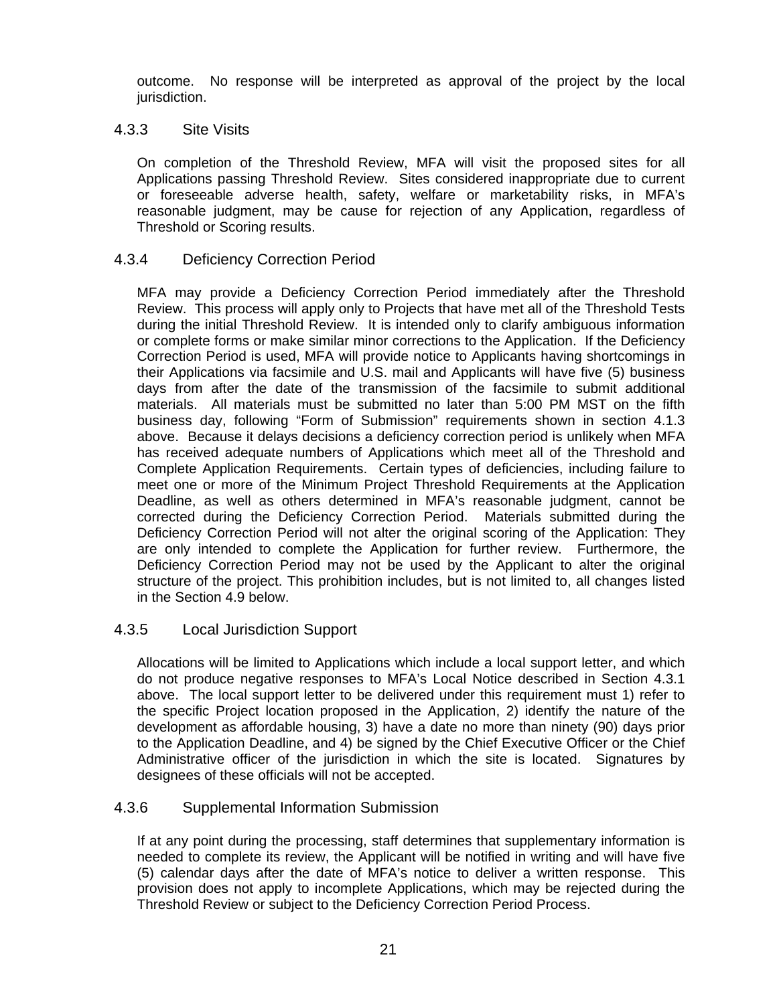outcome. No response will be interpreted as approval of the project by the local jurisdiction.

#### 4.3.3 Site Visits

On completion of the Threshold Review, MFA will visit the proposed sites for all Applications passing Threshold Review. Sites considered inappropriate due to current or foreseeable adverse health, safety, welfare or marketability risks, in MFA's reasonable judgment, may be cause for rejection of any Application, regardless of Threshold or Scoring results.

#### 4.3.4 Deficiency Correction Period

MFA may provide a Deficiency Correction Period immediately after the Threshold Review. This process will apply only to Projects that have met all of the Threshold Tests during the initial Threshold Review. It is intended only to clarify ambiguous information or complete forms or make similar minor corrections to the Application. If the Deficiency Correction Period is used, MFA will provide notice to Applicants having shortcomings in their Applications via facsimile and U.S. mail and Applicants will have five (5) business days from after the date of the transmission of the facsimile to submit additional materials. All materials must be submitted no later than 5:00 PM MST on the fifth business day, following "Form of Submission" requirements shown in section 4.1.3 above. Because it delays decisions a deficiency correction period is unlikely when MFA has received adequate numbers of Applications which meet all of the Threshold and Complete Application Requirements. Certain types of deficiencies, including failure to meet one or more of the Minimum Project Threshold Requirements at the Application Deadline, as well as others determined in MFA's reasonable judgment, cannot be corrected during the Deficiency Correction Period. Materials submitted during the Deficiency Correction Period will not alter the original scoring of the Application: They are only intended to complete the Application for further review. Furthermore, the Deficiency Correction Period may not be used by the Applicant to alter the original structure of the project. This prohibition includes, but is not limited to, all changes listed in the Section 4.9 below.

#### 4.3.5 Local Jurisdiction Support

Allocations will be limited to Applications which include a local support letter, and which do not produce negative responses to MFA's Local Notice described in Section 4.3.1 above. The local support letter to be delivered under this requirement must 1) refer to the specific Project location proposed in the Application, 2) identify the nature of the development as affordable housing, 3) have a date no more than ninety (90) days prior to the Application Deadline, and 4) be signed by the Chief Executive Officer or the Chief Administrative officer of the jurisdiction in which the site is located. Signatures by designees of these officials will not be accepted.

#### 4.3.6 Supplemental Information Submission

If at any point during the processing, staff determines that supplementary information is needed to complete its review, the Applicant will be notified in writing and will have five (5) calendar days after the date of MFA's notice to deliver a written response. This provision does not apply to incomplete Applications, which may be rejected during the Threshold Review or subject to the Deficiency Correction Period Process.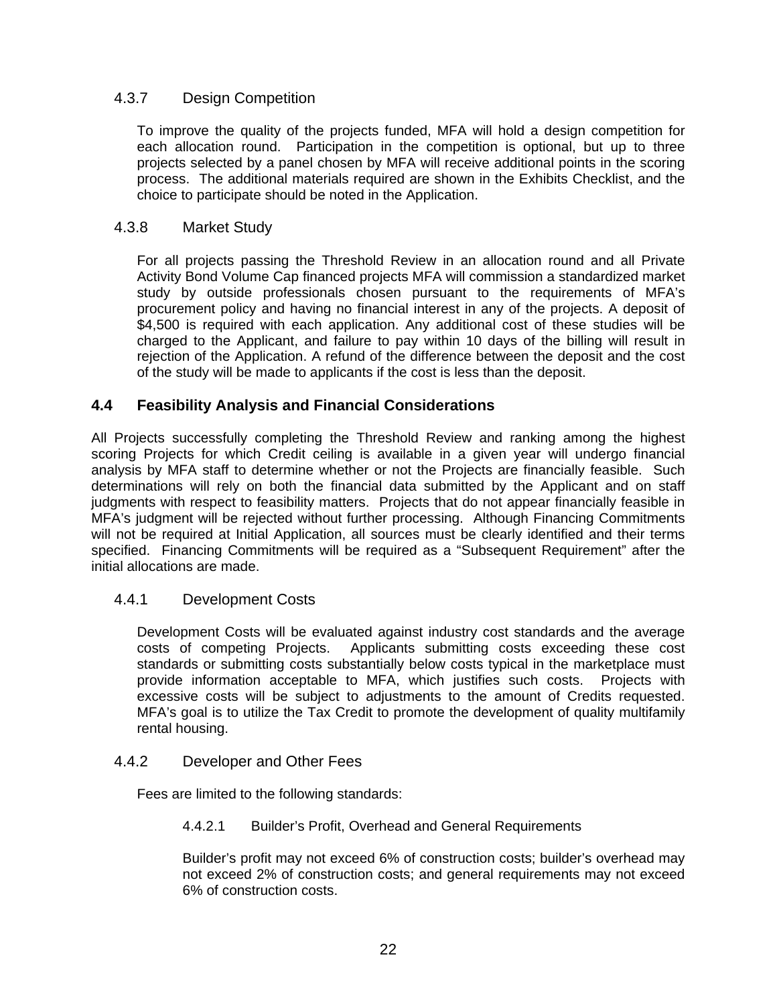### 4.3.7 Design Competition

To improve the quality of the projects funded, MFA will hold a design competition for each allocation round. Participation in the competition is optional, but up to three projects selected by a panel chosen by MFA will receive additional points in the scoring process. The additional materials required are shown in the Exhibits Checklist, and the choice to participate should be noted in the Application.

#### 4.3.8 Market Study

For all projects passing the Threshold Review in an allocation round and all Private Activity Bond Volume Cap financed projects MFA will commission a standardized market study by outside professionals chosen pursuant to the requirements of MFA's procurement policy and having no financial interest in any of the projects. A deposit of \$4,500 is required with each application. Any additional cost of these studies will be charged to the Applicant, and failure to pay within 10 days of the billing will result in rejection of the Application. A refund of the difference between the deposit and the cost of the study will be made to applicants if the cost is less than the deposit.

### **4.4 Feasibility Analysis and Financial Considerations**

All Projects successfully completing the Threshold Review and ranking among the highest scoring Projects for which Credit ceiling is available in a given year will undergo financial analysis by MFA staff to determine whether or not the Projects are financially feasible. Such determinations will rely on both the financial data submitted by the Applicant and on staff judgments with respect to feasibility matters. Projects that do not appear financially feasible in MFA's judgment will be rejected without further processing. Although Financing Commitments will not be required at Initial Application, all sources must be clearly identified and their terms specified. Financing Commitments will be required as a "Subsequent Requirement" after the initial allocations are made.

#### 4.4.1 Development Costs

Development Costs will be evaluated against industry cost standards and the average costs of competing Projects. Applicants submitting costs exceeding these cost standards or submitting costs substantially below costs typical in the marketplace must provide information acceptable to MFA, which justifies such costs. Projects with excessive costs will be subject to adjustments to the amount of Credits requested. MFA's goal is to utilize the Tax Credit to promote the development of quality multifamily rental housing.

#### 4.4.2 Developer and Other Fees

Fees are limited to the following standards:

4.4.2.1 Builder's Profit, Overhead and General Requirements

Builder's profit may not exceed 6% of construction costs; builder's overhead may not exceed 2% of construction costs; and general requirements may not exceed 6% of construction costs.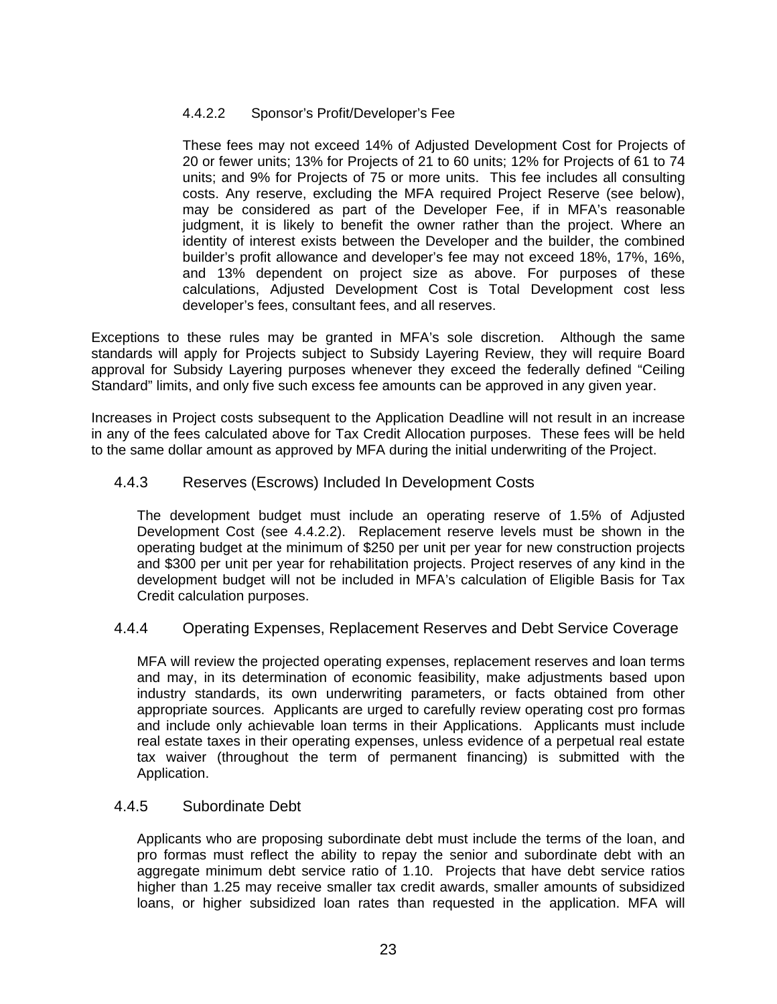#### 4.4.2.2 Sponsor's Profit/Developer's Fee

These fees may not exceed 14% of Adjusted Development Cost for Projects of 20 or fewer units; 13% for Projects of 21 to 60 units; 12% for Projects of 61 to 74 units; and 9% for Projects of 75 or more units. This fee includes all consulting costs. Any reserve, excluding the MFA required Project Reserve (see below), may be considered as part of the Developer Fee, if in MFA's reasonable judgment, it is likely to benefit the owner rather than the project. Where an identity of interest exists between the Developer and the builder, the combined builder's profit allowance and developer's fee may not exceed 18%, 17%, 16%, and 13% dependent on project size as above. For purposes of these calculations, Adjusted Development Cost is Total Development cost less developer's fees, consultant fees, and all reserves.

Exceptions to these rules may be granted in MFA's sole discretion. Although the same standards will apply for Projects subject to Subsidy Layering Review, they will require Board approval for Subsidy Layering purposes whenever they exceed the federally defined "Ceiling Standard" limits, and only five such excess fee amounts can be approved in any given year.

Increases in Project costs subsequent to the Application Deadline will not result in an increase in any of the fees calculated above for Tax Credit Allocation purposes. These fees will be held to the same dollar amount as approved by MFA during the initial underwriting of the Project.

#### 4.4.3 Reserves (Escrows) Included In Development Costs

The development budget must include an operating reserve of 1.5% of Adjusted Development Cost (see 4.4.2.2). Replacement reserve levels must be shown in the operating budget at the minimum of \$250 per unit per year for new construction projects and \$300 per unit per year for rehabilitation projects. Project reserves of any kind in the development budget will not be included in MFA's calculation of Eligible Basis for Tax Credit calculation purposes.

#### 4.4.4 Operating Expenses, Replacement Reserves and Debt Service Coverage

MFA will review the projected operating expenses, replacement reserves and loan terms and may, in its determination of economic feasibility, make adjustments based upon industry standards, its own underwriting parameters, or facts obtained from other appropriate sources. Applicants are urged to carefully review operating cost pro formas and include only achievable loan terms in their Applications. Applicants must include real estate taxes in their operating expenses, unless evidence of a perpetual real estate tax waiver (throughout the term of permanent financing) is submitted with the Application.

#### 4.4.5 Subordinate Debt

Applicants who are proposing subordinate debt must include the terms of the loan, and pro formas must reflect the ability to repay the senior and subordinate debt with an aggregate minimum debt service ratio of 1.10. Projects that have debt service ratios higher than 1.25 may receive smaller tax credit awards, smaller amounts of subsidized loans, or higher subsidized loan rates than requested in the application. MFA will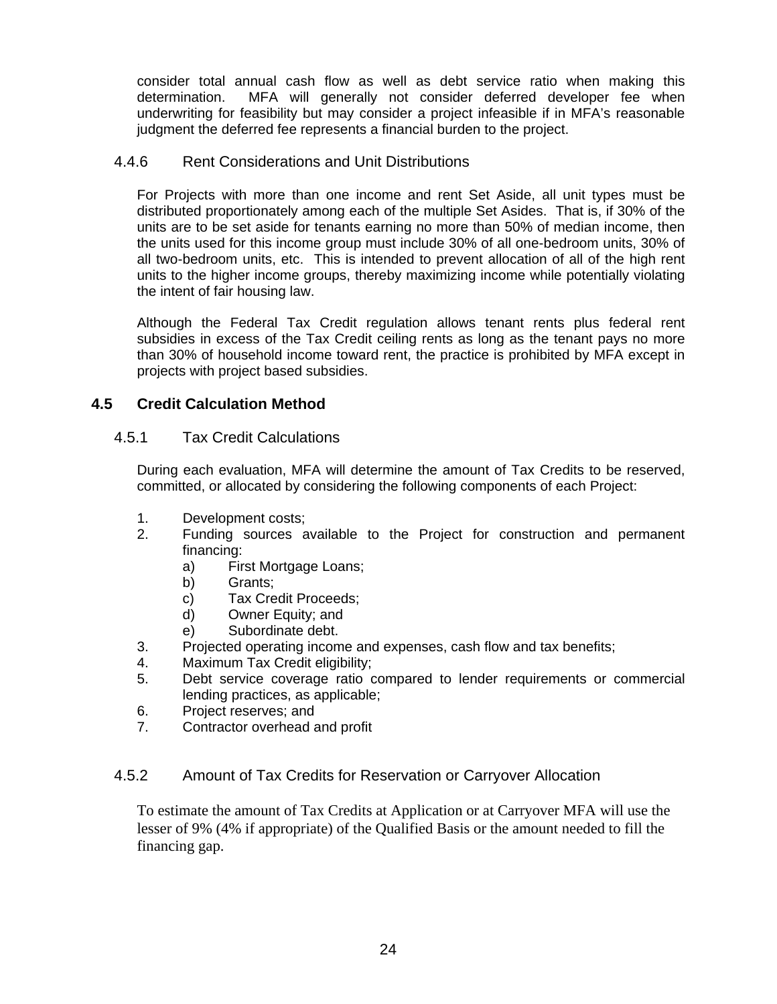consider total annual cash flow as well as debt service ratio when making this determination. MFA will generally not consider deferred developer fee when underwriting for feasibility but may consider a project infeasible if in MFA's reasonable judgment the deferred fee represents a financial burden to the project.

#### 4.4.6 Rent Considerations and Unit Distributions

For Projects with more than one income and rent Set Aside, all unit types must be distributed proportionately among each of the multiple Set Asides. That is, if 30% of the units are to be set aside for tenants earning no more than 50% of median income, then the units used for this income group must include 30% of all one-bedroom units, 30% of all two-bedroom units, etc. This is intended to prevent allocation of all of the high rent units to the higher income groups, thereby maximizing income while potentially violating the intent of fair housing law.

Although the Federal Tax Credit regulation allows tenant rents plus federal rent subsidies in excess of the Tax Credit ceiling rents as long as the tenant pays no more than 30% of household income toward rent, the practice is prohibited by MFA except in projects with project based subsidies.

### **4.5 Credit Calculation Method**

#### 4.5.1 Tax Credit Calculations

During each evaluation, MFA will determine the amount of Tax Credits to be reserved, committed, or allocated by considering the following components of each Project:

- 1. Development costs;
- 2. Funding sources available to the Project for construction and permanent financing:
	- a) First Mortgage Loans;
	- b) Grants;
	- c) Tax Credit Proceeds;
	- d) Owner Equity; and
	- e) Subordinate debt.
- 3. Projected operating income and expenses, cash flow and tax benefits;
- 4. Maximum Tax Credit eligibility;
- 5. Debt service coverage ratio compared to lender requirements or commercial lending practices, as applicable;
- 6. Project reserves; and
- 7. Contractor overhead and profit

#### 4.5.2 Amount of Tax Credits for Reservation or Carryover Allocation

To estimate the amount of Tax Credits at Application or at Carryover MFA will use the lesser of 9% (4% if appropriate) of the Qualified Basis or the amount needed to fill the financing gap.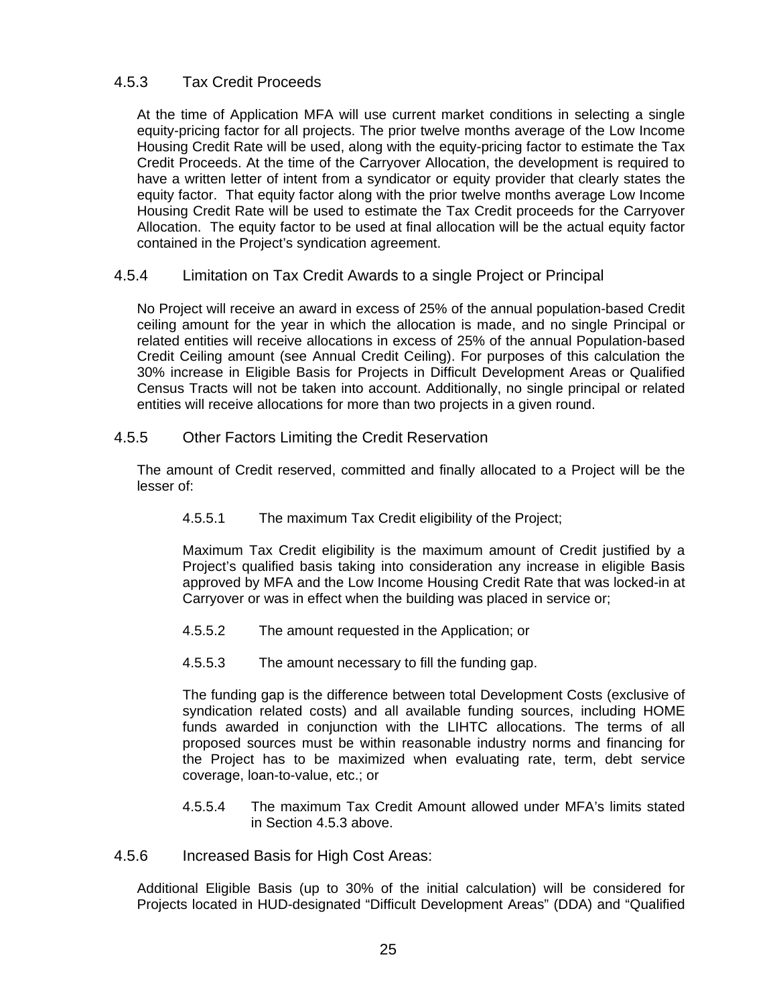### 4.5.3 Tax Credit Proceeds

At the time of Application MFA will use current market conditions in selecting a single equity-pricing factor for all projects. The prior twelve months average of the Low Income Housing Credit Rate will be used, along with the equity-pricing factor to estimate the Tax Credit Proceeds. At the time of the Carryover Allocation, the development is required to have a written letter of intent from a syndicator or equity provider that clearly states the equity factor. That equity factor along with the prior twelve months average Low Income Housing Credit Rate will be used to estimate the Tax Credit proceeds for the Carryover Allocation. The equity factor to be used at final allocation will be the actual equity factor contained in the Project's syndication agreement.

#### 4.5.4 Limitation on Tax Credit Awards to a single Project or Principal

No Project will receive an award in excess of 25% of the annual population-based Credit ceiling amount for the year in which the allocation is made, and no single Principal or related entities will receive allocations in excess of 25% of the annual Population-based Credit Ceiling amount (see Annual Credit Ceiling). For purposes of this calculation the 30% increase in Eligible Basis for Projects in Difficult Development Areas or Qualified Census Tracts will not be taken into account. Additionally, no single principal or related entities will receive allocations for more than two projects in a given round.

#### 4.5.5 Other Factors Limiting the Credit Reservation

The amount of Credit reserved, committed and finally allocated to a Project will be the lesser of:

4.5.5.1 The maximum Tax Credit eligibility of the Project;

Maximum Tax Credit eligibility is the maximum amount of Credit justified by a Project's qualified basis taking into consideration any increase in eligible Basis approved by MFA and the Low Income Housing Credit Rate that was locked-in at Carryover or was in effect when the building was placed in service or;

- 4.5.5.2 The amount requested in the Application; or
- 4.5.5.3 The amount necessary to fill the funding gap.

The funding gap is the difference between total Development Costs (exclusive of syndication related costs) and all available funding sources, including HOME funds awarded in conjunction with the LIHTC allocations. The terms of all proposed sources must be within reasonable industry norms and financing for the Project has to be maximized when evaluating rate, term, debt service coverage, loan-to-value, etc.; or

4.5.5.4 The maximum Tax Credit Amount allowed under MFA's limits stated in Section 4.5.3 above.

4.5.6 Increased Basis for High Cost Areas:

Additional Eligible Basis (up to 30% of the initial calculation) will be considered for Projects located in HUD-designated "Difficult Development Areas" (DDA) and "Qualified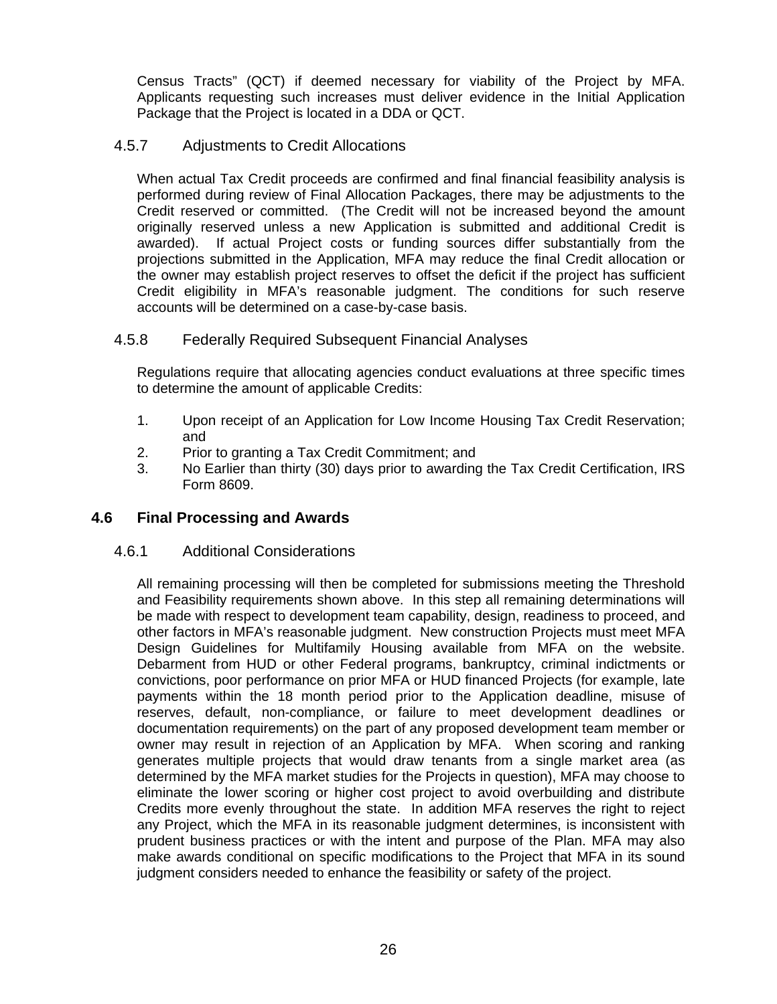Census Tracts" (QCT) if deemed necessary for viability of the Project by MFA. Applicants requesting such increases must deliver evidence in the Initial Application Package that the Project is located in a DDA or QCT.

#### 4.5.7 Adjustments to Credit Allocations

When actual Tax Credit proceeds are confirmed and final financial feasibility analysis is performed during review of Final Allocation Packages, there may be adjustments to the Credit reserved or committed. (The Credit will not be increased beyond the amount originally reserved unless a new Application is submitted and additional Credit is awarded). If actual Project costs or funding sources differ substantially from the projections submitted in the Application, MFA may reduce the final Credit allocation or the owner may establish project reserves to offset the deficit if the project has sufficient Credit eligibility in MFA's reasonable judgment. The conditions for such reserve accounts will be determined on a case-by-case basis.

#### 4.5.8 Federally Required Subsequent Financial Analyses

Regulations require that allocating agencies conduct evaluations at three specific times to determine the amount of applicable Credits:

- 1. Upon receipt of an Application for Low Income Housing Tax Credit Reservation; and
- 2. Prior to granting a Tax Credit Commitment; and
- 3. No Earlier than thirty (30) days prior to awarding the Tax Credit Certification, IRS Form 8609.

### **4.6 Final Processing and Awards**

#### 4.6.1 Additional Considerations

All remaining processing will then be completed for submissions meeting the Threshold and Feasibility requirements shown above. In this step all remaining determinations will be made with respect to development team capability, design, readiness to proceed, and other factors in MFA's reasonable judgment. New construction Projects must meet MFA Design Guidelines for Multifamily Housing available from MFA on the website. Debarment from HUD or other Federal programs, bankruptcy, criminal indictments or convictions, poor performance on prior MFA or HUD financed Projects (for example, late payments within the 18 month period prior to the Application deadline, misuse of reserves, default, non-compliance, or failure to meet development deadlines or documentation requirements) on the part of any proposed development team member or owner may result in rejection of an Application by MFA. When scoring and ranking generates multiple projects that would draw tenants from a single market area (as determined by the MFA market studies for the Projects in question), MFA may choose to eliminate the lower scoring or higher cost project to avoid overbuilding and distribute Credits more evenly throughout the state. In addition MFA reserves the right to reject any Project, which the MFA in its reasonable judgment determines, is inconsistent with prudent business practices or with the intent and purpose of the Plan. MFA may also make awards conditional on specific modifications to the Project that MFA in its sound judgment considers needed to enhance the feasibility or safety of the project.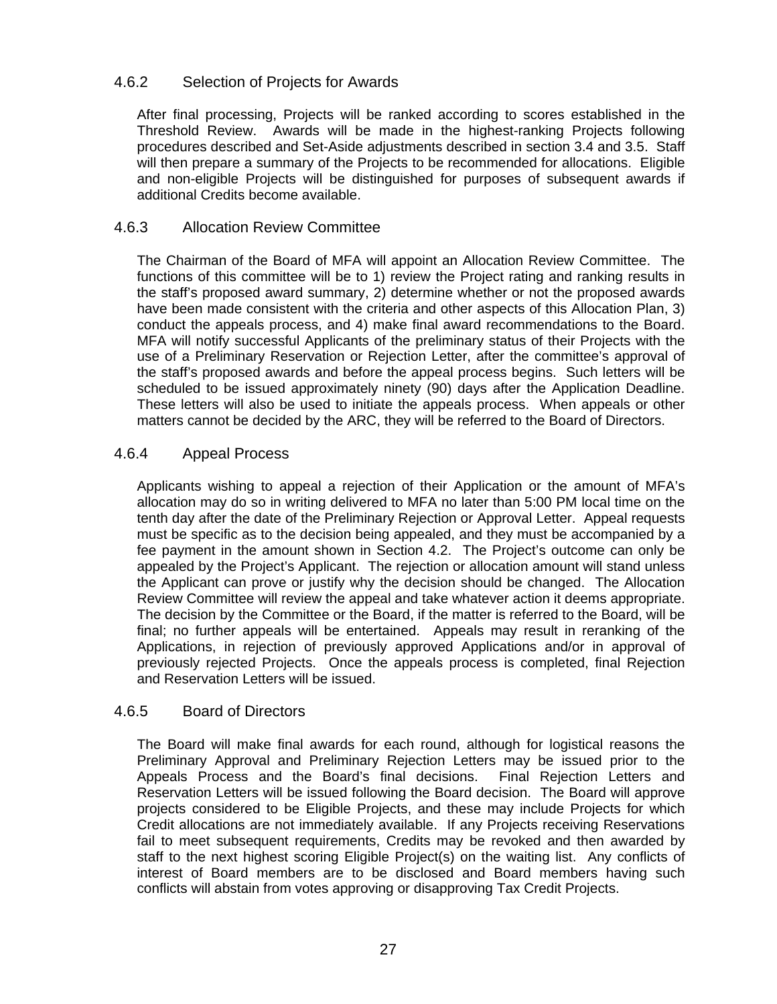#### 4.6.2 Selection of Projects for Awards

After final processing, Projects will be ranked according to scores established in the Threshold Review. Awards will be made in the highest-ranking Projects following procedures described and Set-Aside adjustments described in section 3.4 and 3.5. Staff will then prepare a summary of the Projects to be recommended for allocations. Eligible and non-eligible Projects will be distinguished for purposes of subsequent awards if additional Credits become available.

#### 4.6.3 Allocation Review Committee

The Chairman of the Board of MFA will appoint an Allocation Review Committee. The functions of this committee will be to 1) review the Project rating and ranking results in the staff's proposed award summary, 2) determine whether or not the proposed awards have been made consistent with the criteria and other aspects of this Allocation Plan, 3) conduct the appeals process, and 4) make final award recommendations to the Board. MFA will notify successful Applicants of the preliminary status of their Projects with the use of a Preliminary Reservation or Rejection Letter, after the committee's approval of the staff's proposed awards and before the appeal process begins. Such letters will be scheduled to be issued approximately ninety (90) days after the Application Deadline. These letters will also be used to initiate the appeals process. When appeals or other matters cannot be decided by the ARC, they will be referred to the Board of Directors.

#### 4.6.4 Appeal Process

Applicants wishing to appeal a rejection of their Application or the amount of MFA's allocation may do so in writing delivered to MFA no later than 5:00 PM local time on the tenth day after the date of the Preliminary Rejection or Approval Letter. Appeal requests must be specific as to the decision being appealed, and they must be accompanied by a fee payment in the amount shown in Section 4.2. The Project's outcome can only be appealed by the Project's Applicant. The rejection or allocation amount will stand unless the Applicant can prove or justify why the decision should be changed. The Allocation Review Committee will review the appeal and take whatever action it deems appropriate. The decision by the Committee or the Board, if the matter is referred to the Board, will be final; no further appeals will be entertained. Appeals may result in reranking of the Applications, in rejection of previously approved Applications and/or in approval of previously rejected Projects. Once the appeals process is completed, final Rejection and Reservation Letters will be issued.

#### 4.6.5 Board of Directors

The Board will make final awards for each round, although for logistical reasons the Preliminary Approval and Preliminary Rejection Letters may be issued prior to the Appeals Process and the Board's final decisions. Final Rejection Letters and Reservation Letters will be issued following the Board decision. The Board will approve projects considered to be Eligible Projects, and these may include Projects for which Credit allocations are not immediately available. If any Projects receiving Reservations fail to meet subsequent requirements, Credits may be revoked and then awarded by staff to the next highest scoring Eligible Project(s) on the waiting list. Any conflicts of interest of Board members are to be disclosed and Board members having such conflicts will abstain from votes approving or disapproving Tax Credit Projects.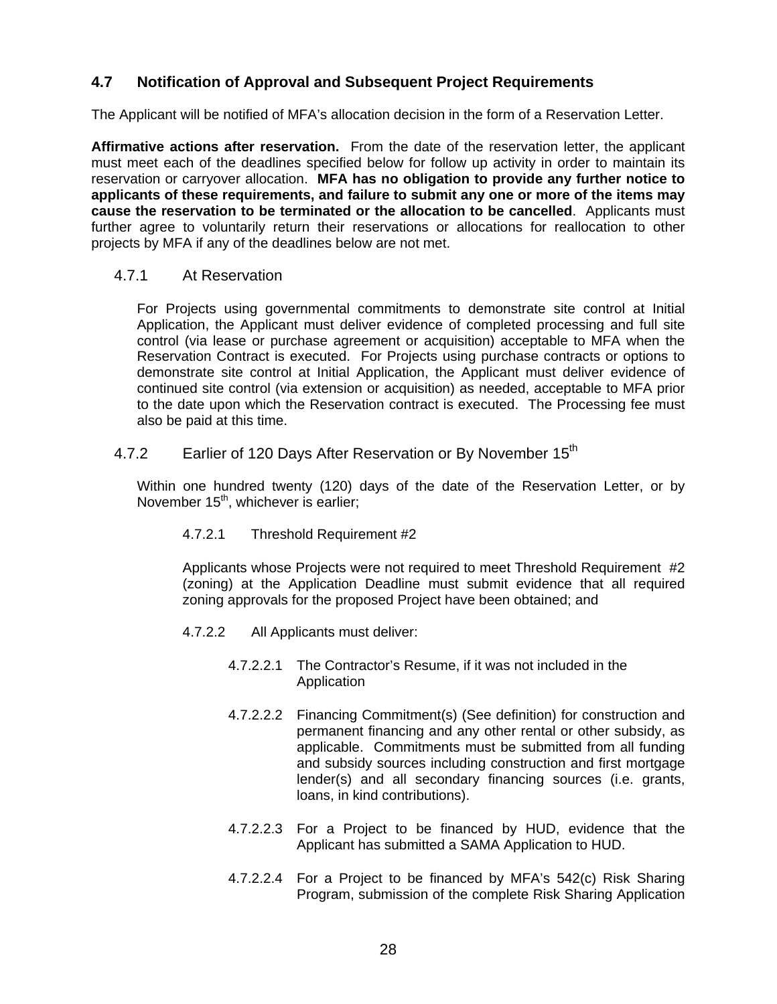# **4.7 Notification of Approval and Subsequent Project Requirements**

The Applicant will be notified of MFA's allocation decision in the form of a Reservation Letter.

**Affirmative actions after reservation.** From the date of the reservation letter, the applicant must meet each of the deadlines specified below for follow up activity in order to maintain its reservation or carryover allocation. **MFA has no obligation to provide any further notice to applicants of these requirements, and failure to submit any one or more of the items may cause the reservation to be terminated or the allocation to be cancelled**. Applicants must further agree to voluntarily return their reservations or allocations for reallocation to other projects by MFA if any of the deadlines below are not met.

#### 4.7.1 At Reservation

For Projects using governmental commitments to demonstrate site control at Initial Application, the Applicant must deliver evidence of completed processing and full site control (via lease or purchase agreement or acquisition) acceptable to MFA when the Reservation Contract is executed. For Projects using purchase contracts or options to demonstrate site control at Initial Application, the Applicant must deliver evidence of continued site control (via extension or acquisition) as needed, acceptable to MFA prior to the date upon which the Reservation contract is executed. The Processing fee must also be paid at this time.

### 4.7.2 Earlier of 120 Days After Reservation or By November 15<sup>th</sup>

Within one hundred twenty (120) days of the date of the Reservation Letter, or by November 15<sup>th</sup>, whichever is earlier;

4.7.2.1 Threshold Requirement #2

Applicants whose Projects were not required to meet Threshold Requirement #2 (zoning) at the Application Deadline must submit evidence that all required zoning approvals for the proposed Project have been obtained; and

- 4.7.2.2 All Applicants must deliver:
	- 4.7.2.2.1 The Contractor's Resume, if it was not included in the Application
	- 4.7.2.2.2 Financing Commitment(s) (See definition) for construction and permanent financing and any other rental or other subsidy, as applicable. Commitments must be submitted from all funding and subsidy sources including construction and first mortgage lender(s) and all secondary financing sources (i.e. grants, loans, in kind contributions).
	- 4.7.2.2.3 For a Project to be financed by HUD, evidence that the Applicant has submitted a SAMA Application to HUD.
	- 4.7.2.2.4 For a Project to be financed by MFA's 542(c) Risk Sharing Program, submission of the complete Risk Sharing Application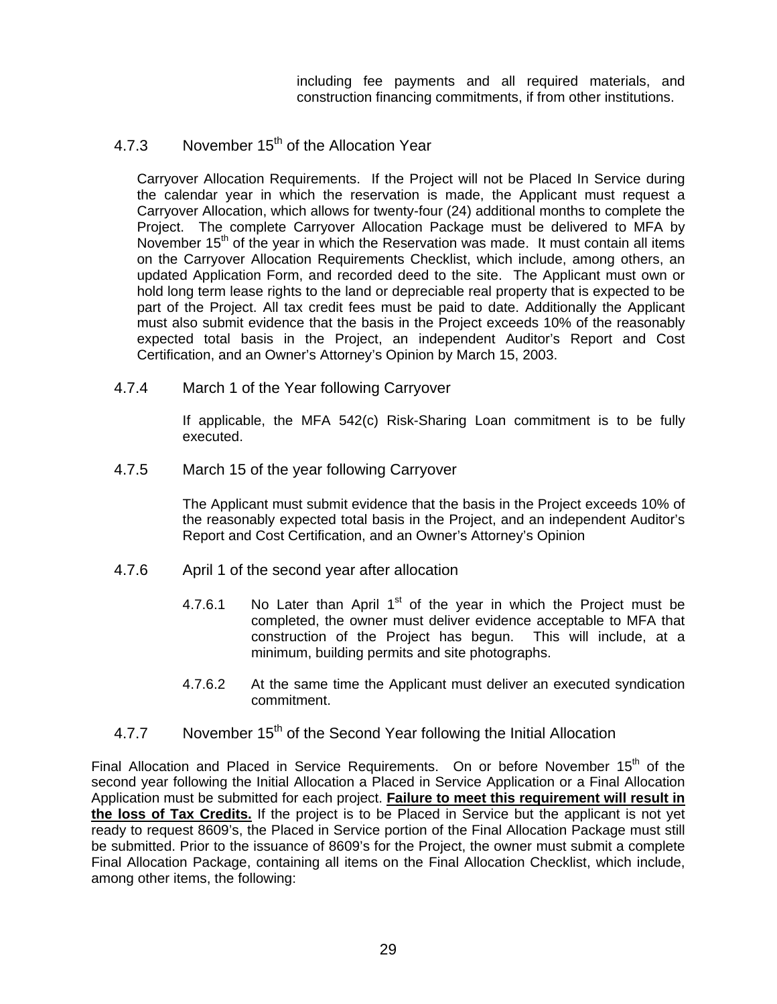including fee payments and all required materials, and construction financing commitments, if from other institutions.

# 4.7.3 November  $15<sup>th</sup>$  of the Allocation Year

Carryover Allocation Requirements. If the Project will not be Placed In Service during the calendar year in which the reservation is made, the Applicant must request a Carryover Allocation, which allows for twenty-four (24) additional months to complete the Project. The complete Carryover Allocation Package must be delivered to MFA by November 15<sup>th</sup> of the year in which the Reservation was made. It must contain all items on the Carryover Allocation Requirements Checklist, which include, among others, an updated Application Form, and recorded deed to the site. The Applicant must own or hold long term lease rights to the land or depreciable real property that is expected to be part of the Project. All tax credit fees must be paid to date. Additionally the Applicant must also submit evidence that the basis in the Project exceeds 10% of the reasonably expected total basis in the Project, an independent Auditor's Report and Cost Certification, and an Owner's Attorney's Opinion by March 15, 2003.

4.7.4 March 1 of the Year following Carryover

If applicable, the MFA 542(c) Risk-Sharing Loan commitment is to be fully executed.

4.7.5 March 15 of the year following Carryover

The Applicant must submit evidence that the basis in the Project exceeds 10% of the reasonably expected total basis in the Project, and an independent Auditor's Report and Cost Certification, and an Owner's Attorney's Opinion

- 4.7.6 April 1 of the second year after allocation
	- 4.7.6.1 No Later than April  $1<sup>st</sup>$  of the year in which the Project must be completed, the owner must deliver evidence acceptable to MFA that construction of the Project has begun. This will include, at a minimum, building permits and site photographs.
	- 4.7.6.2 At the same time the Applicant must deliver an executed syndication commitment.
- 4.7.7 November 15<sup>th</sup> of the Second Year following the Initial Allocation

Final Allocation and Placed in Service Requirements. On or before November  $15<sup>th</sup>$  of the second year following the Initial Allocation a Placed in Service Application or a Final Allocation Application must be submitted for each project. **Failure to meet this requirement will result in the loss of Tax Credits.** If the project is to be Placed in Service but the applicant is not yet ready to request 8609's, the Placed in Service portion of the Final Allocation Package must still be submitted. Prior to the issuance of 8609's for the Project, the owner must submit a complete Final Allocation Package, containing all items on the Final Allocation Checklist, which include, among other items, the following: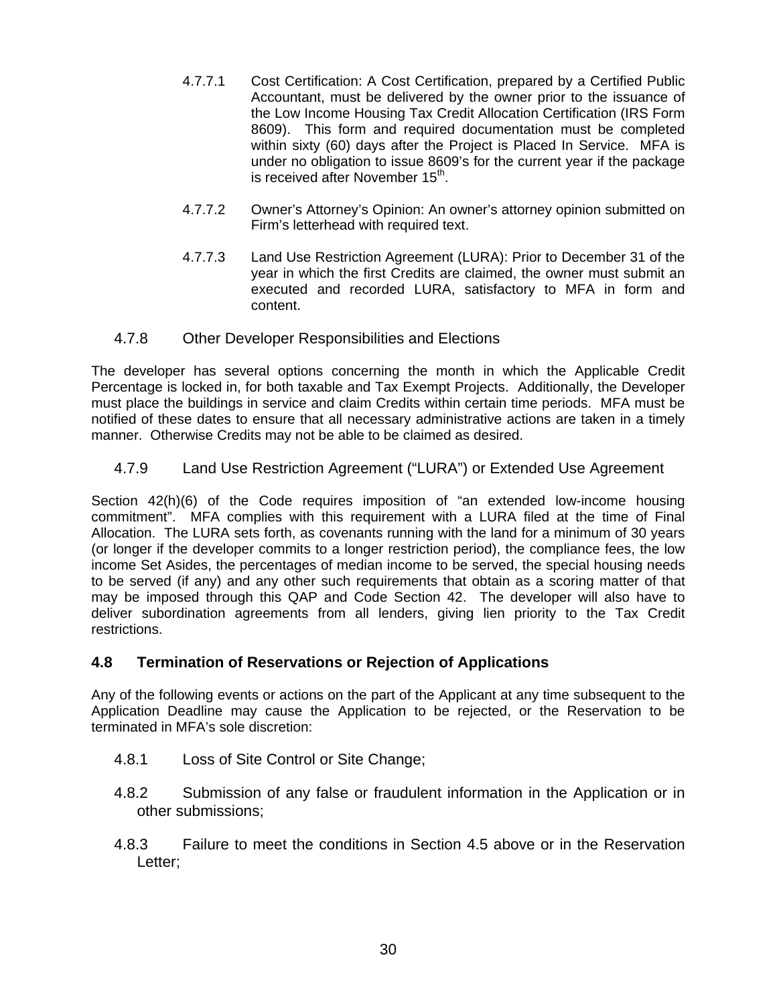- 4.7.7.1 Cost Certification: A Cost Certification, prepared by a Certified Public Accountant, must be delivered by the owner prior to the issuance of the Low Income Housing Tax Credit Allocation Certification (IRS Form 8609). This form and required documentation must be completed within sixty (60) days after the Project is Placed In Service. MFA is under no obligation to issue 8609's for the current year if the package is received after November 15<sup>th</sup>.
- 4.7.7.2 Owner's Attorney's Opinion: An owner's attorney opinion submitted on Firm's letterhead with required text.
- 4.7.7.3 Land Use Restriction Agreement (LURA): Prior to December 31 of the year in which the first Credits are claimed, the owner must submit an executed and recorded LURA, satisfactory to MFA in form and content.
- 4.7.8 Other Developer Responsibilities and Elections

The developer has several options concerning the month in which the Applicable Credit Percentage is locked in, for both taxable and Tax Exempt Projects. Additionally, the Developer must place the buildings in service and claim Credits within certain time periods. MFA must be notified of these dates to ensure that all necessary administrative actions are taken in a timely manner. Otherwise Credits may not be able to be claimed as desired.

4.7.9 Land Use Restriction Agreement ("LURA") or Extended Use Agreement

Section 42(h)(6) of the Code requires imposition of "an extended low-income housing commitment". MFA complies with this requirement with a LURA filed at the time of Final Allocation. The LURA sets forth, as covenants running with the land for a minimum of 30 years (or longer if the developer commits to a longer restriction period), the compliance fees, the low income Set Asides, the percentages of median income to be served, the special housing needs to be served (if any) and any other such requirements that obtain as a scoring matter of that may be imposed through this QAP and Code Section 42. The developer will also have to deliver subordination agreements from all lenders, giving lien priority to the Tax Credit restrictions.

### **4.8 Termination of Reservations or Rejection of Applications**

Any of the following events or actions on the part of the Applicant at any time subsequent to the Application Deadline may cause the Application to be rejected, or the Reservation to be terminated in MFA's sole discretion:

- 4.8.1 Loss of Site Control or Site Change;
- 4.8.2 Submission of any false or fraudulent information in the Application or in other submissions;
- 4.8.3 Failure to meet the conditions in Section 4.5 above or in the Reservation Letter;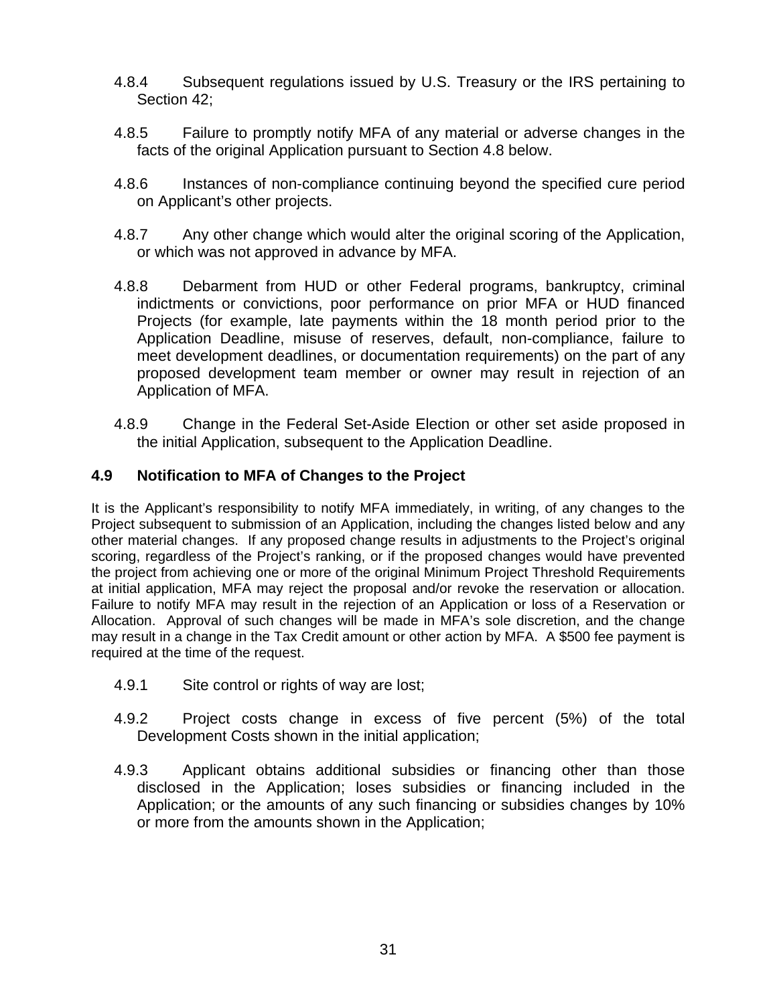- 4.8.4 Subsequent regulations issued by U.S. Treasury or the IRS pertaining to Section 42;
- 4.8.5 Failure to promptly notify MFA of any material or adverse changes in the facts of the original Application pursuant to Section 4.8 below.
- 4.8.6 Instances of non-compliance continuing beyond the specified cure period on Applicant's other projects.
- 4.8.7 Any other change which would alter the original scoring of the Application, or which was not approved in advance by MFA.
- 4.8.8 Debarment from HUD or other Federal programs, bankruptcy, criminal indictments or convictions, poor performance on prior MFA or HUD financed Projects (for example, late payments within the 18 month period prior to the Application Deadline, misuse of reserves, default, non-compliance, failure to meet development deadlines, or documentation requirements) on the part of any proposed development team member or owner may result in rejection of an Application of MFA.
- 4.8.9 Change in the Federal Set-Aside Election or other set aside proposed in the initial Application, subsequent to the Application Deadline.

# **4.9 Notification to MFA of Changes to the Project**

It is the Applicant's responsibility to notify MFA immediately, in writing, of any changes to the Project subsequent to submission of an Application, including the changes listed below and any other material changes. If any proposed change results in adjustments to the Project's original scoring, regardless of the Project's ranking, or if the proposed changes would have prevented the project from achieving one or more of the original Minimum Project Threshold Requirements at initial application, MFA may reject the proposal and/or revoke the reservation or allocation. Failure to notify MFA may result in the rejection of an Application or loss of a Reservation or Allocation. Approval of such changes will be made in MFA's sole discretion, and the change may result in a change in the Tax Credit amount or other action by MFA. A \$500 fee payment is required at the time of the request.

- 4.9.1 Site control or rights of way are lost;
- 4.9.2 Project costs change in excess of five percent (5%) of the total Development Costs shown in the initial application;
- 4.9.3 Applicant obtains additional subsidies or financing other than those disclosed in the Application; loses subsidies or financing included in the Application; or the amounts of any such financing or subsidies changes by 10% or more from the amounts shown in the Application;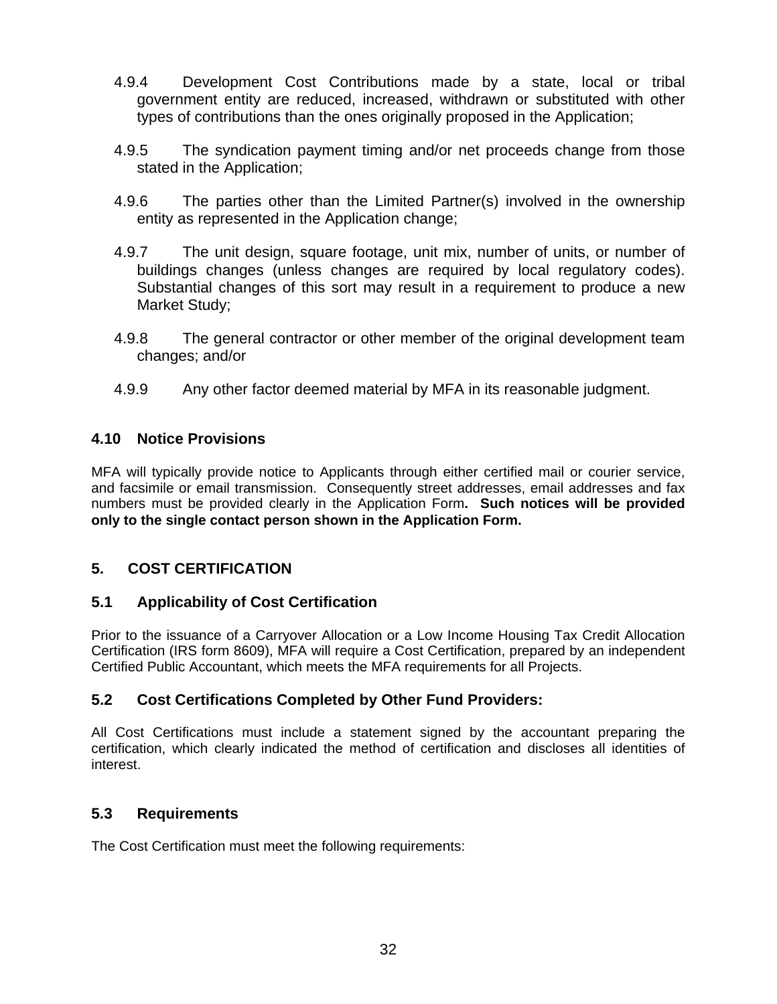- 4.9.4 Development Cost Contributions made by a state, local or tribal government entity are reduced, increased, withdrawn or substituted with other types of contributions than the ones originally proposed in the Application;
- 4.9.5 The syndication payment timing and/or net proceeds change from those stated in the Application;
- 4.9.6 The parties other than the Limited Partner(s) involved in the ownership entity as represented in the Application change;
- 4.9.7 The unit design, square footage, unit mix, number of units, or number of buildings changes (unless changes are required by local regulatory codes). Substantial changes of this sort may result in a requirement to produce a new Market Study;
- 4.9.8 The general contractor or other member of the original development team changes; and/or
- 4.9.9 Any other factor deemed material by MFA in its reasonable judgment.

# **4.10 Notice Provisions**

MFA will typically provide notice to Applicants through either certified mail or courier service, and facsimile or email transmission. Consequently street addresses, email addresses and fax numbers must be provided clearly in the Application Form**. Such notices will be provided only to the single contact person shown in the Application Form.** 

# **5. COST CERTIFICATION**

### **5.1 Applicability of Cost Certification**

Prior to the issuance of a Carryover Allocation or a Low Income Housing Tax Credit Allocation Certification (IRS form 8609), MFA will require a Cost Certification, prepared by an independent Certified Public Accountant, which meets the MFA requirements for all Projects.

# **5.2 Cost Certifications Completed by Other Fund Providers:**

All Cost Certifications must include a statement signed by the accountant preparing the certification, which clearly indicated the method of certification and discloses all identities of interest.

### **5.3 Requirements**

The Cost Certification must meet the following requirements: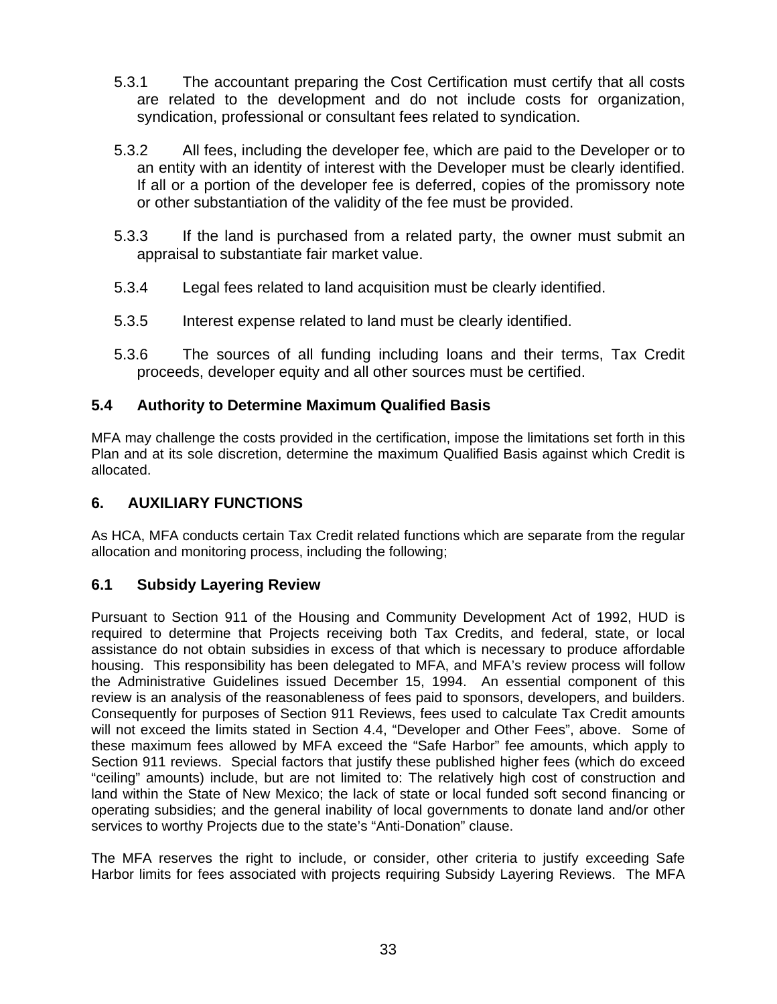- 5.3.1 The accountant preparing the Cost Certification must certify that all costs are related to the development and do not include costs for organization, syndication, professional or consultant fees related to syndication.
- 5.3.2 All fees, including the developer fee, which are paid to the Developer or to an entity with an identity of interest with the Developer must be clearly identified. If all or a portion of the developer fee is deferred, copies of the promissory note or other substantiation of the validity of the fee must be provided.
- 5.3.3 If the land is purchased from a related party, the owner must submit an appraisal to substantiate fair market value.
- 5.3.4 Legal fees related to land acquisition must be clearly identified.
- 5.3.5 Interest expense related to land must be clearly identified.
- 5.3.6 The sources of all funding including loans and their terms, Tax Credit proceeds, developer equity and all other sources must be certified.

# **5.4 Authority to Determine Maximum Qualified Basis**

MFA may challenge the costs provided in the certification, impose the limitations set forth in this Plan and at its sole discretion, determine the maximum Qualified Basis against which Credit is allocated.

### **6. AUXILIARY FUNCTIONS**

As HCA, MFA conducts certain Tax Credit related functions which are separate from the regular allocation and monitoring process, including the following;

### **6.1 Subsidy Layering Review**

Pursuant to Section 911 of the Housing and Community Development Act of 1992, HUD is required to determine that Projects receiving both Tax Credits, and federal, state, or local assistance do not obtain subsidies in excess of that which is necessary to produce affordable housing. This responsibility has been delegated to MFA, and MFA's review process will follow the Administrative Guidelines issued December 15, 1994. An essential component of this review is an analysis of the reasonableness of fees paid to sponsors, developers, and builders. Consequently for purposes of Section 911 Reviews, fees used to calculate Tax Credit amounts will not exceed the limits stated in Section 4.4, "Developer and Other Fees", above. Some of these maximum fees allowed by MFA exceed the "Safe Harbor" fee amounts, which apply to Section 911 reviews. Special factors that justify these published higher fees (which do exceed "ceiling" amounts) include, but are not limited to: The relatively high cost of construction and land within the State of New Mexico; the lack of state or local funded soft second financing or operating subsidies; and the general inability of local governments to donate land and/or other services to worthy Projects due to the state's "Anti-Donation" clause.

The MFA reserves the right to include, or consider, other criteria to justify exceeding Safe Harbor limits for fees associated with projects requiring Subsidy Layering Reviews. The MFA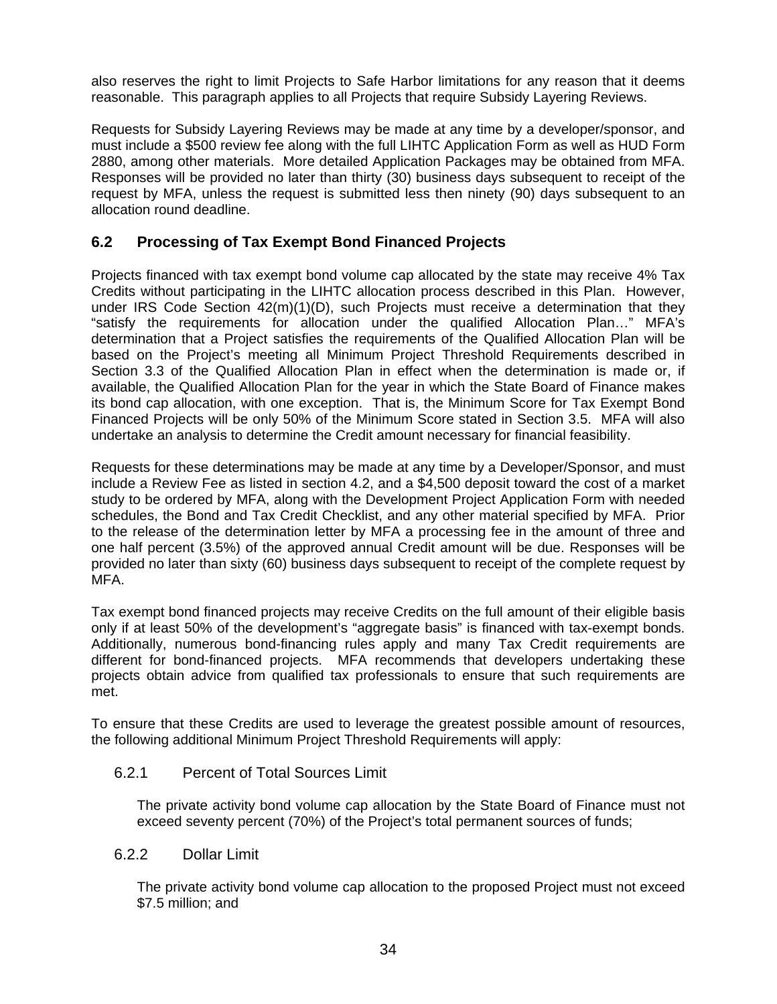also reserves the right to limit Projects to Safe Harbor limitations for any reason that it deems reasonable. This paragraph applies to all Projects that require Subsidy Layering Reviews.

Requests for Subsidy Layering Reviews may be made at any time by a developer/sponsor, and must include a \$500 review fee along with the full LIHTC Application Form as well as HUD Form 2880, among other materials. More detailed Application Packages may be obtained from MFA. Responses will be provided no later than thirty (30) business days subsequent to receipt of the request by MFA, unless the request is submitted less then ninety (90) days subsequent to an allocation round deadline.

# **6.2 Processing of Tax Exempt Bond Financed Projects**

Projects financed with tax exempt bond volume cap allocated by the state may receive 4% Tax Credits without participating in the LIHTC allocation process described in this Plan. However, under IRS Code Section 42(m)(1)(D), such Projects must receive a determination that they "satisfy the requirements for allocation under the qualified Allocation Plan…" MFA's determination that a Project satisfies the requirements of the Qualified Allocation Plan will be based on the Project's meeting all Minimum Project Threshold Requirements described in Section 3.3 of the Qualified Allocation Plan in effect when the determination is made or, if available, the Qualified Allocation Plan for the year in which the State Board of Finance makes its bond cap allocation, with one exception. That is, the Minimum Score for Tax Exempt Bond Financed Projects will be only 50% of the Minimum Score stated in Section 3.5. MFA will also undertake an analysis to determine the Credit amount necessary for financial feasibility.

Requests for these determinations may be made at any time by a Developer/Sponsor, and must include a Review Fee as listed in section 4.2, and a \$4,500 deposit toward the cost of a market study to be ordered by MFA, along with the Development Project Application Form with needed schedules, the Bond and Tax Credit Checklist, and any other material specified by MFA. Prior to the release of the determination letter by MFA a processing fee in the amount of three and one half percent (3.5%) of the approved annual Credit amount will be due. Responses will be provided no later than sixty (60) business days subsequent to receipt of the complete request by MFA.

Tax exempt bond financed projects may receive Credits on the full amount of their eligible basis only if at least 50% of the development's "aggregate basis" is financed with tax-exempt bonds. Additionally, numerous bond-financing rules apply and many Tax Credit requirements are different for bond-financed projects. MFA recommends that developers undertaking these projects obtain advice from qualified tax professionals to ensure that such requirements are met.

To ensure that these Credits are used to leverage the greatest possible amount of resources, the following additional Minimum Project Threshold Requirements will apply:

#### 6.2.1 Percent of Total Sources Limit

The private activity bond volume cap allocation by the State Board of Finance must not exceed seventy percent (70%) of the Project's total permanent sources of funds;

#### 6.2.2 Dollar Limit

The private activity bond volume cap allocation to the proposed Project must not exceed \$7.5 million; and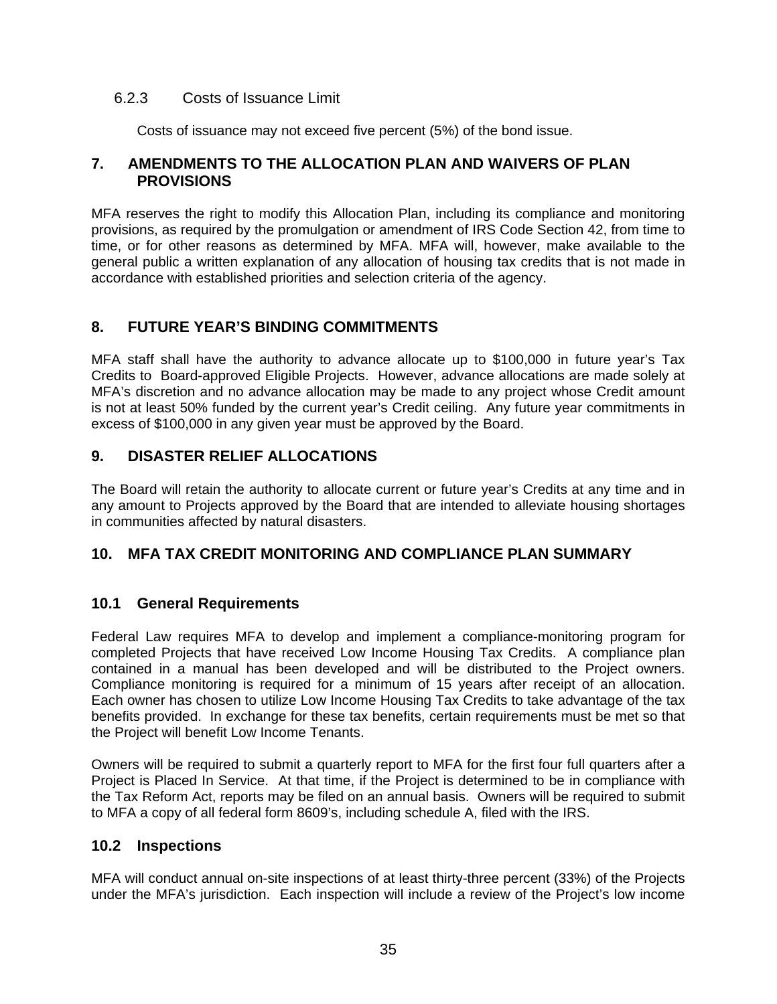### 6.2.3 Costs of Issuance Limit

Costs of issuance may not exceed five percent (5%) of the bond issue.

#### **7. AMENDMENTS TO THE ALLOCATION PLAN AND WAIVERS OF PLAN PROVISIONS**

MFA reserves the right to modify this Allocation Plan, including its compliance and monitoring provisions, as required by the promulgation or amendment of IRS Code Section 42, from time to time, or for other reasons as determined by MFA. MFA will, however, make available to the general public a written explanation of any allocation of housing tax credits that is not made in accordance with established priorities and selection criteria of the agency.

# **8. FUTURE YEAR'S BINDING COMMITMENTS**

MFA staff shall have the authority to advance allocate up to \$100,000 in future year's Tax Credits to Board-approved Eligible Projects. However, advance allocations are made solely at MFA's discretion and no advance allocation may be made to any project whose Credit amount is not at least 50% funded by the current year's Credit ceiling. Any future year commitments in excess of \$100,000 in any given year must be approved by the Board.

# **9. DISASTER RELIEF ALLOCATIONS**

The Board will retain the authority to allocate current or future year's Credits at any time and in any amount to Projects approved by the Board that are intended to alleviate housing shortages in communities affected by natural disasters.

### **10. MFA TAX CREDIT MONITORING AND COMPLIANCE PLAN SUMMARY**

### **10.1 General Requirements**

Federal Law requires MFA to develop and implement a compliance-monitoring program for completed Projects that have received Low Income Housing Tax Credits. A compliance plan contained in a manual has been developed and will be distributed to the Project owners. Compliance monitoring is required for a minimum of 15 years after receipt of an allocation. Each owner has chosen to utilize Low Income Housing Tax Credits to take advantage of the tax benefits provided. In exchange for these tax benefits, certain requirements must be met so that the Project will benefit Low Income Tenants.

Owners will be required to submit a quarterly report to MFA for the first four full quarters after a Project is Placed In Service. At that time, if the Project is determined to be in compliance with the Tax Reform Act, reports may be filed on an annual basis. Owners will be required to submit to MFA a copy of all federal form 8609's, including schedule A, filed with the IRS.

### **10.2 Inspections**

MFA will conduct annual on-site inspections of at least thirty-three percent (33%) of the Projects under the MFA's jurisdiction. Each inspection will include a review of the Project's low income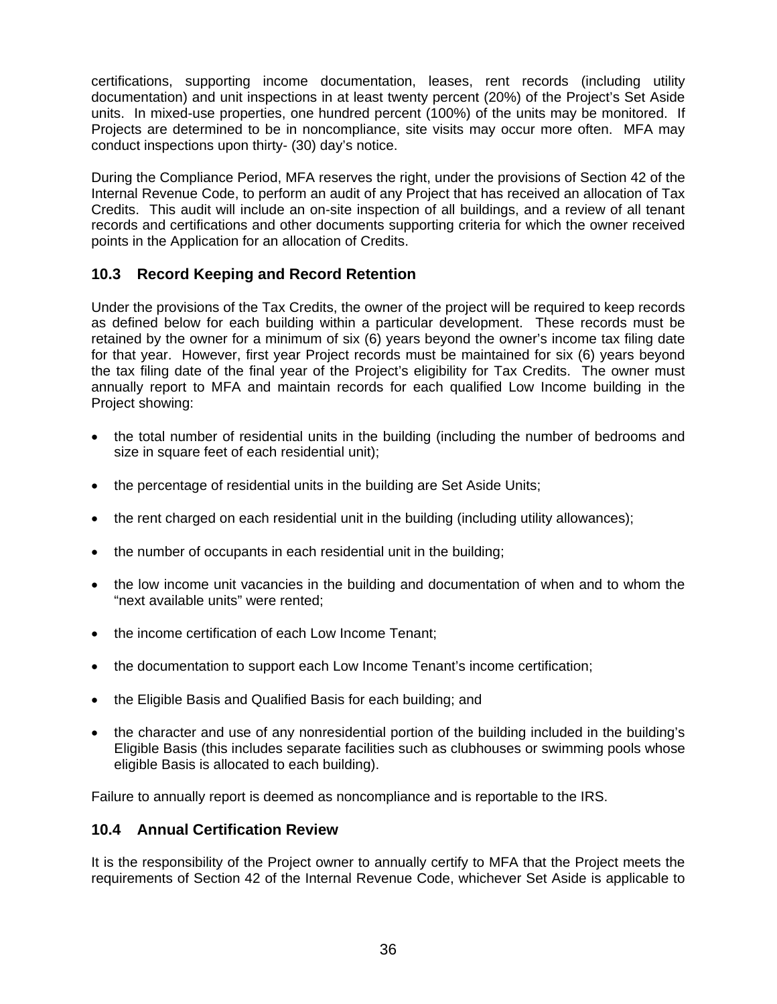certifications, supporting income documentation, leases, rent records (including utility documentation) and unit inspections in at least twenty percent (20%) of the Project's Set Aside units. In mixed-use properties, one hundred percent (100%) of the units may be monitored. If Projects are determined to be in noncompliance, site visits may occur more often. MFA may conduct inspections upon thirty- (30) day's notice.

During the Compliance Period, MFA reserves the right, under the provisions of Section 42 of the Internal Revenue Code, to perform an audit of any Project that has received an allocation of Tax Credits. This audit will include an on-site inspection of all buildings, and a review of all tenant records and certifications and other documents supporting criteria for which the owner received points in the Application for an allocation of Credits.

# **10.3 Record Keeping and Record Retention**

Under the provisions of the Tax Credits, the owner of the project will be required to keep records as defined below for each building within a particular development. These records must be retained by the owner for a minimum of six (6) years beyond the owner's income tax filing date for that year. However, first year Project records must be maintained for six (6) years beyond the tax filing date of the final year of the Project's eligibility for Tax Credits. The owner must annually report to MFA and maintain records for each qualified Low Income building in the Project showing:

- the total number of residential units in the building (including the number of bedrooms and size in square feet of each residential unit);
- the percentage of residential units in the building are Set Aside Units;
- the rent charged on each residential unit in the building (including utility allowances):
- the number of occupants in each residential unit in the building;
- the low income unit vacancies in the building and documentation of when and to whom the "next available units" were rented;
- the income certification of each Low Income Tenant;
- the documentation to support each Low Income Tenant's income certification;
- the Eligible Basis and Qualified Basis for each building; and
- the character and use of any nonresidential portion of the building included in the building's Eligible Basis (this includes separate facilities such as clubhouses or swimming pools whose eligible Basis is allocated to each building).

Failure to annually report is deemed as noncompliance and is reportable to the IRS.

### **10.4 Annual Certification Review**

It is the responsibility of the Project owner to annually certify to MFA that the Project meets the requirements of Section 42 of the Internal Revenue Code, whichever Set Aside is applicable to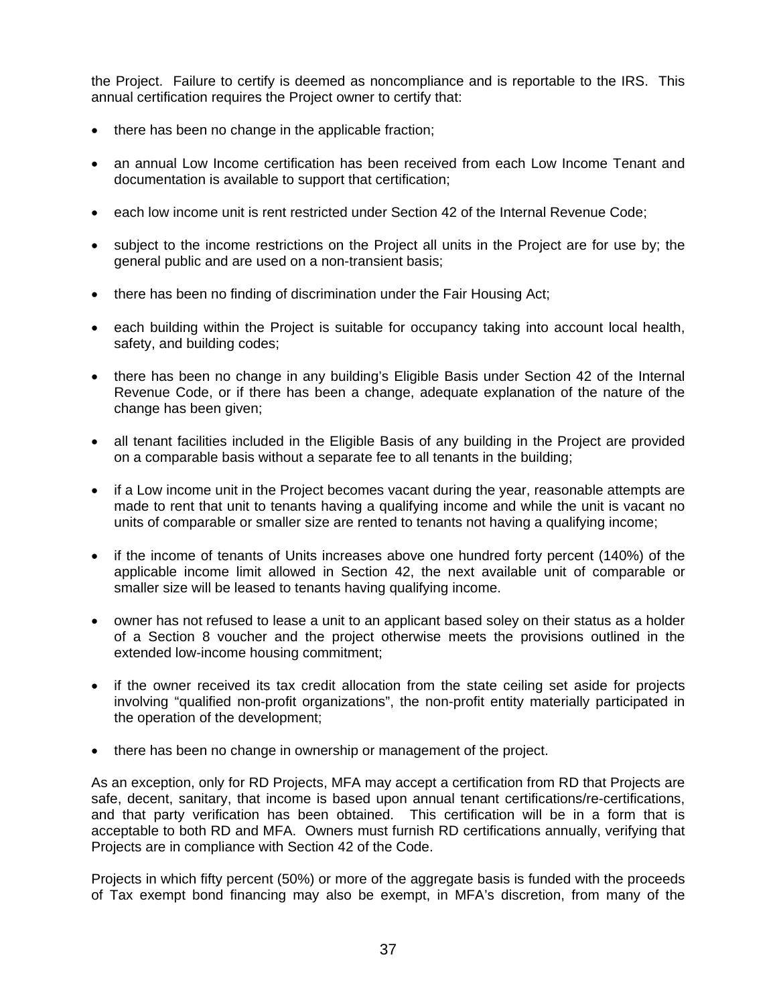the Project. Failure to certify is deemed as noncompliance and is reportable to the IRS. This annual certification requires the Project owner to certify that:

- there has been no change in the applicable fraction;
- an annual Low Income certification has been received from each Low Income Tenant and documentation is available to support that certification;
- each low income unit is rent restricted under Section 42 of the Internal Revenue Code:
- subject to the income restrictions on the Project all units in the Project are for use by; the general public and are used on a non-transient basis;
- there has been no finding of discrimination under the Fair Housing Act;
- each building within the Project is suitable for occupancy taking into account local health, safety, and building codes;
- there has been no change in any building's Eligible Basis under Section 42 of the Internal Revenue Code, or if there has been a change, adequate explanation of the nature of the change has been given;
- all tenant facilities included in the Eligible Basis of any building in the Project are provided on a comparable basis without a separate fee to all tenants in the building;
- if a Low income unit in the Project becomes vacant during the year, reasonable attempts are made to rent that unit to tenants having a qualifying income and while the unit is vacant no units of comparable or smaller size are rented to tenants not having a qualifying income;
- if the income of tenants of Units increases above one hundred forty percent (140%) of the applicable income limit allowed in Section 42, the next available unit of comparable or smaller size will be leased to tenants having qualifying income.
- owner has not refused to lease a unit to an applicant based soley on their status as a holder of a Section 8 voucher and the project otherwise meets the provisions outlined in the extended low-income housing commitment;
- if the owner received its tax credit allocation from the state ceiling set aside for projects involving "qualified non-profit organizations", the non-profit entity materially participated in the operation of the development;
- there has been no change in ownership or management of the project.

As an exception, only for RD Projects, MFA may accept a certification from RD that Projects are safe, decent, sanitary, that income is based upon annual tenant certifications/re-certifications, and that party verification has been obtained. This certification will be in a form that is acceptable to both RD and MFA. Owners must furnish RD certifications annually, verifying that Projects are in compliance with Section 42 of the Code.

Projects in which fifty percent (50%) or more of the aggregate basis is funded with the proceeds of Tax exempt bond financing may also be exempt, in MFA's discretion, from many of the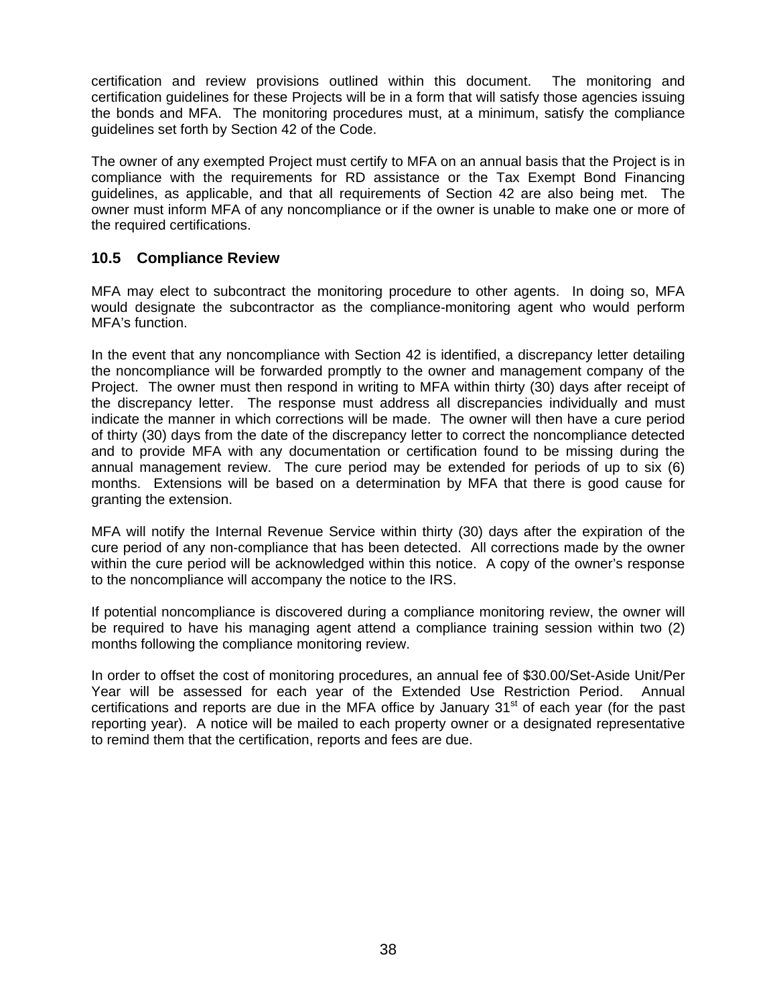certification and review provisions outlined within this document. The monitoring and certification guidelines for these Projects will be in a form that will satisfy those agencies issuing the bonds and MFA. The monitoring procedures must, at a minimum, satisfy the compliance guidelines set forth by Section 42 of the Code.

The owner of any exempted Project must certify to MFA on an annual basis that the Project is in compliance with the requirements for RD assistance or the Tax Exempt Bond Financing guidelines, as applicable, and that all requirements of Section 42 are also being met. The owner must inform MFA of any noncompliance or if the owner is unable to make one or more of the required certifications.

# **10.5 Compliance Review**

MFA may elect to subcontract the monitoring procedure to other agents. In doing so, MFA would designate the subcontractor as the compliance-monitoring agent who would perform MFA's function.

In the event that any noncompliance with Section 42 is identified, a discrepancy letter detailing the noncompliance will be forwarded promptly to the owner and management company of the Project. The owner must then respond in writing to MFA within thirty (30) days after receipt of the discrepancy letter. The response must address all discrepancies individually and must indicate the manner in which corrections will be made. The owner will then have a cure period of thirty (30) days from the date of the discrepancy letter to correct the noncompliance detected and to provide MFA with any documentation or certification found to be missing during the annual management review. The cure period may be extended for periods of up to six (6) months. Extensions will be based on a determination by MFA that there is good cause for granting the extension.

MFA will notify the Internal Revenue Service within thirty (30) days after the expiration of the cure period of any non-compliance that has been detected. All corrections made by the owner within the cure period will be acknowledged within this notice. A copy of the owner's response to the noncompliance will accompany the notice to the IRS.

If potential noncompliance is discovered during a compliance monitoring review, the owner will be required to have his managing agent attend a compliance training session within two (2) months following the compliance monitoring review.

In order to offset the cost of monitoring procedures, an annual fee of \$30.00/Set-Aside Unit/Per Year will be assessed for each year of the Extended Use Restriction Period. Annual certifications and reports are due in the MFA office by January  $31<sup>st</sup>$  of each year (for the past reporting year). A notice will be mailed to each property owner or a designated representative to remind them that the certification, reports and fees are due.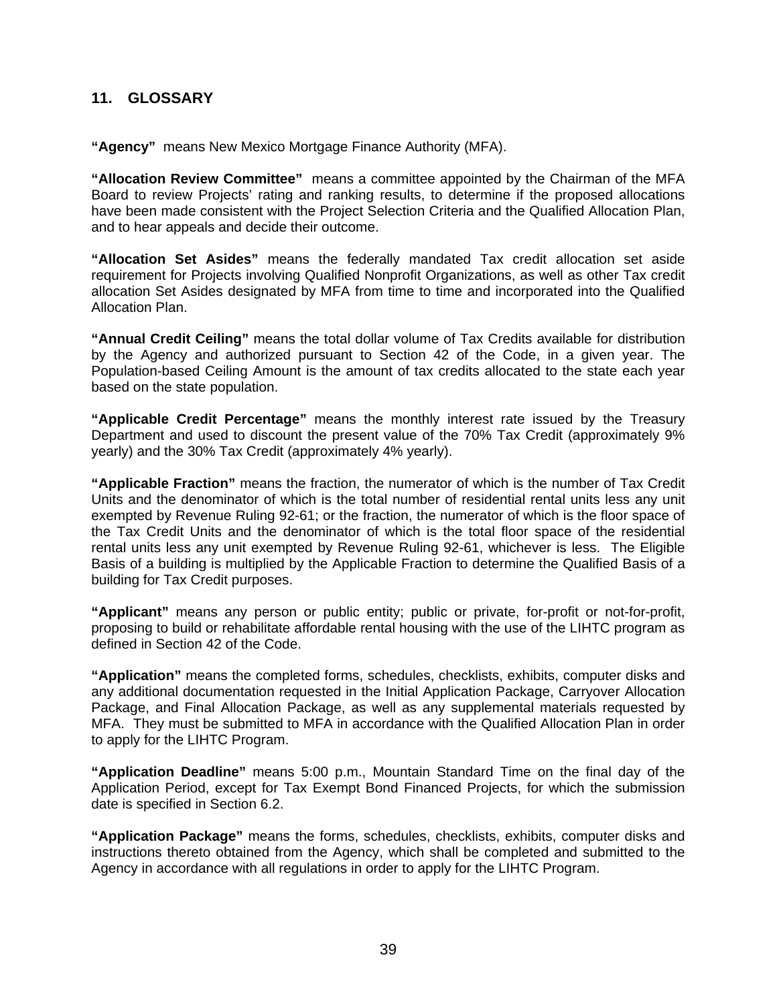#### **11. GLOSSARY**

**"Agency"** means New Mexico Mortgage Finance Authority (MFA).

**"Allocation Review Committee"** means a committee appointed by the Chairman of the MFA Board to review Projects' rating and ranking results, to determine if the proposed allocations have been made consistent with the Project Selection Criteria and the Qualified Allocation Plan, and to hear appeals and decide their outcome.

**"Allocation Set Asides"** means the federally mandated Tax credit allocation set aside requirement for Projects involving Qualified Nonprofit Organizations, as well as other Tax credit allocation Set Asides designated by MFA from time to time and incorporated into the Qualified Allocation Plan.

**"Annual Credit Ceiling"** means the total dollar volume of Tax Credits available for distribution by the Agency and authorized pursuant to Section 42 of the Code, in a given year. The Population-based Ceiling Amount is the amount of tax credits allocated to the state each year based on the state population.

**"Applicable Credit Percentage"** means the monthly interest rate issued by the Treasury Department and used to discount the present value of the 70% Tax Credit (approximately 9% yearly) and the 30% Tax Credit (approximately 4% yearly).

**"Applicable Fraction"** means the fraction, the numerator of which is the number of Tax Credit Units and the denominator of which is the total number of residential rental units less any unit exempted by Revenue Ruling 92-61; or the fraction, the numerator of which is the floor space of the Tax Credit Units and the denominator of which is the total floor space of the residential rental units less any unit exempted by Revenue Ruling 92-61, whichever is less. The Eligible Basis of a building is multiplied by the Applicable Fraction to determine the Qualified Basis of a building for Tax Credit purposes.

**"Applicant"** means any person or public entity; public or private, for-profit or not-for-profit, proposing to build or rehabilitate affordable rental housing with the use of the LIHTC program as defined in Section 42 of the Code.

**"Application"** means the completed forms, schedules, checklists, exhibits, computer disks and any additional documentation requested in the Initial Application Package, Carryover Allocation Package, and Final Allocation Package, as well as any supplemental materials requested by MFA. They must be submitted to MFA in accordance with the Qualified Allocation Plan in order to apply for the LIHTC Program.

**"Application Deadline"** means 5:00 p.m., Mountain Standard Time on the final day of the Application Period, except for Tax Exempt Bond Financed Projects, for which the submission date is specified in Section 6.2.

**"Application Package"** means the forms, schedules, checklists, exhibits, computer disks and instructions thereto obtained from the Agency, which shall be completed and submitted to the Agency in accordance with all regulations in order to apply for the LIHTC Program.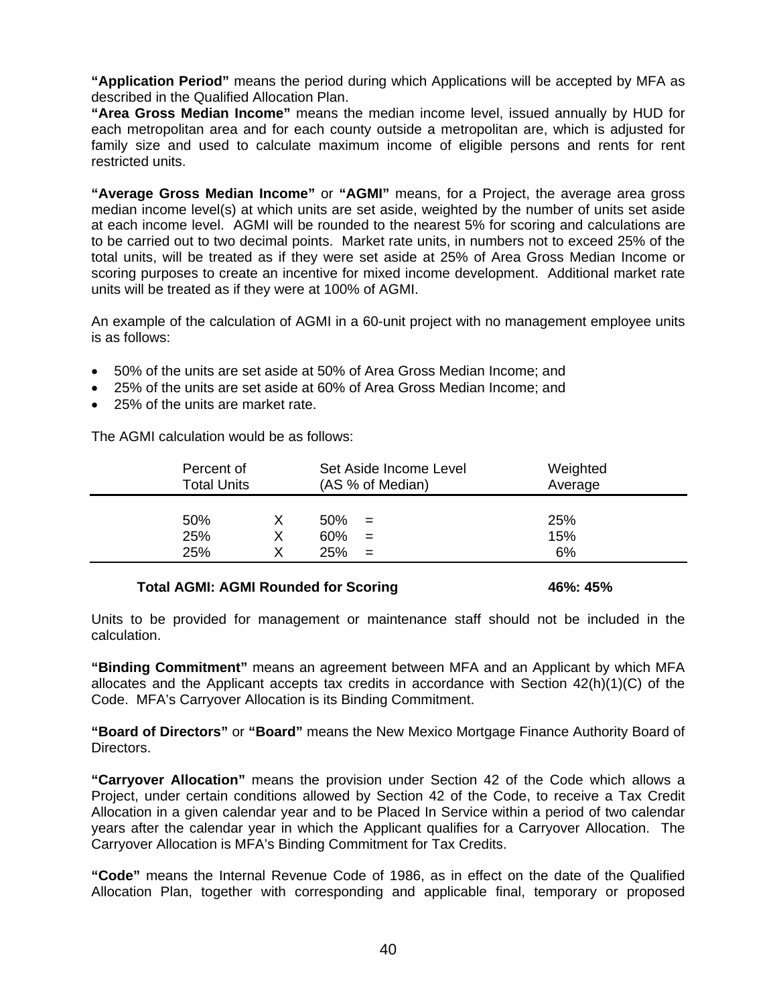**"Application Period"** means the period during which Applications will be accepted by MFA as described in the Qualified Allocation Plan.

**"Area Gross Median Income"** means the median income level, issued annually by HUD for each metropolitan area and for each county outside a metropolitan are, which is adjusted for family size and used to calculate maximum income of eligible persons and rents for rent restricted units.

**"Average Gross Median Income"** or **"AGMI"** means, for a Project, the average area gross median income level(s) at which units are set aside, weighted by the number of units set aside at each income level. AGMI will be rounded to the nearest 5% for scoring and calculations are to be carried out to two decimal points. Market rate units, in numbers not to exceed 25% of the total units, will be treated as if they were set aside at 25% of Area Gross Median Income or scoring purposes to create an incentive for mixed income development. Additional market rate units will be treated as if they were at 100% of AGMI.

An example of the calculation of AGMI in a 60-unit project with no management employee units is as follows:

- 50% of the units are set aside at 50% of Area Gross Median Income; and
- 25% of the units are set aside at 60% of Area Gross Median Income; and
- 25% of the units are market rate.

The AGMI calculation would be as follows:

| Percent of         | Set Aside Income Level                 | Weighted         |
|--------------------|----------------------------------------|------------------|
| <b>Total Units</b> | (AS % of Median)                       | Average          |
| 50%<br>25%<br>25%  | 50%<br>$=$<br>60%<br>$=$<br>25%<br>$=$ | 25%<br>15%<br>6% |

#### **Total AGMI: AGMI Rounded for Scoring**   $46\%$ : 45%

Units to be provided for management or maintenance staff should not be included in the calculation.

**"Binding Commitment"** means an agreement between MFA and an Applicant by which MFA allocates and the Applicant accepts tax credits in accordance with Section  $42(h)(1)(C)$  of the Code. MFA's Carryover Allocation is its Binding Commitment.

**"Board of Directors"** or **"Board"** means the New Mexico Mortgage Finance Authority Board of Directors.

**"Carryover Allocation"** means the provision under Section 42 of the Code which allows a Project, under certain conditions allowed by Section 42 of the Code, to receive a Tax Credit Allocation in a given calendar year and to be Placed In Service within a period of two calendar years after the calendar year in which the Applicant qualifies for a Carryover Allocation. The Carryover Allocation is MFA's Binding Commitment for Tax Credits.

**"Code"** means the Internal Revenue Code of 1986, as in effect on the date of the Qualified Allocation Plan, together with corresponding and applicable final, temporary or proposed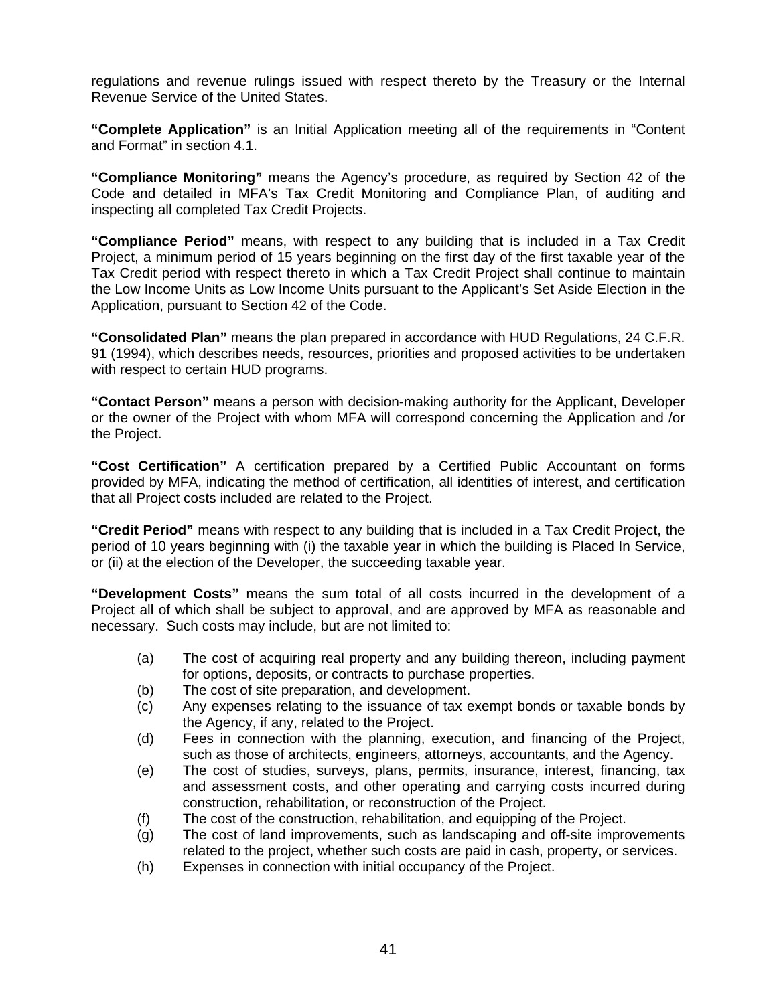regulations and revenue rulings issued with respect thereto by the Treasury or the Internal Revenue Service of the United States.

**"Complete Application"** is an Initial Application meeting all of the requirements in "Content and Format" in section 4.1.

**"Compliance Monitoring"** means the Agency's procedure, as required by Section 42 of the Code and detailed in MFA's Tax Credit Monitoring and Compliance Plan, of auditing and inspecting all completed Tax Credit Projects.

**"Compliance Period"** means, with respect to any building that is included in a Tax Credit Project, a minimum period of 15 years beginning on the first day of the first taxable year of the Tax Credit period with respect thereto in which a Tax Credit Project shall continue to maintain the Low Income Units as Low Income Units pursuant to the Applicant's Set Aside Election in the Application, pursuant to Section 42 of the Code.

**"Consolidated Plan"** means the plan prepared in accordance with HUD Regulations, 24 C.F.R. 91 (1994), which describes needs, resources, priorities and proposed activities to be undertaken with respect to certain HUD programs.

**"Contact Person"** means a person with decision-making authority for the Applicant, Developer or the owner of the Project with whom MFA will correspond concerning the Application and /or the Project.

**"Cost Certification"** A certification prepared by a Certified Public Accountant on forms provided by MFA, indicating the method of certification, all identities of interest, and certification that all Project costs included are related to the Project.

**"Credit Period"** means with respect to any building that is included in a Tax Credit Project, the period of 10 years beginning with (i) the taxable year in which the building is Placed In Service, or (ii) at the election of the Developer, the succeeding taxable year.

**"Development Costs"** means the sum total of all costs incurred in the development of a Project all of which shall be subject to approval, and are approved by MFA as reasonable and necessary. Such costs may include, but are not limited to:

- (a) The cost of acquiring real property and any building thereon, including payment for options, deposits, or contracts to purchase properties.
- (b) The cost of site preparation, and development.
- (c) Any expenses relating to the issuance of tax exempt bonds or taxable bonds by the Agency, if any, related to the Project.
- (d) Fees in connection with the planning, execution, and financing of the Project, such as those of architects, engineers, attorneys, accountants, and the Agency.
- (e) The cost of studies, surveys, plans, permits, insurance, interest, financing, tax and assessment costs, and other operating and carrying costs incurred during construction, rehabilitation, or reconstruction of the Project.
- (f) The cost of the construction, rehabilitation, and equipping of the Project.
- (g) The cost of land improvements, such as landscaping and off-site improvements related to the project, whether such costs are paid in cash, property, or services.
- (h) Expenses in connection with initial occupancy of the Project.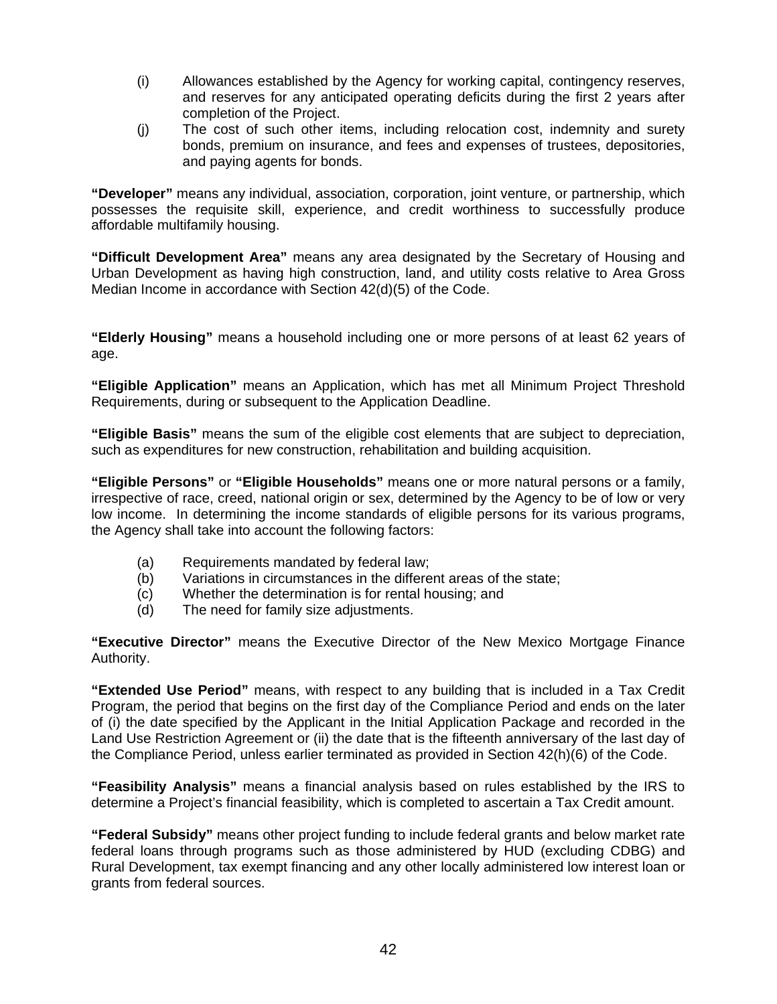- (i) Allowances established by the Agency for working capital, contingency reserves, and reserves for any anticipated operating deficits during the first 2 years after completion of the Project.
- (j) The cost of such other items, including relocation cost, indemnity and surety bonds, premium on insurance, and fees and expenses of trustees, depositories, and paying agents for bonds.

**"Developer"** means any individual, association, corporation, joint venture, or partnership, which possesses the requisite skill, experience, and credit worthiness to successfully produce affordable multifamily housing.

**"Difficult Development Area"** means any area designated by the Secretary of Housing and Urban Development as having high construction, land, and utility costs relative to Area Gross Median Income in accordance with Section 42(d)(5) of the Code.

**"Elderly Housing"** means a household including one or more persons of at least 62 years of age.

**"Eligible Application"** means an Application, which has met all Minimum Project Threshold Requirements, during or subsequent to the Application Deadline.

**"Eligible Basis"** means the sum of the eligible cost elements that are subject to depreciation, such as expenditures for new construction, rehabilitation and building acquisition.

**"Eligible Persons"** or **"Eligible Households"** means one or more natural persons or a family, irrespective of race, creed, national origin or sex, determined by the Agency to be of low or very low income. In determining the income standards of eligible persons for its various programs, the Agency shall take into account the following factors:

- (a) Requirements mandated by federal law;
- (b) Variations in circumstances in the different areas of the state;
- (c) Whether the determination is for rental housing; and
- (d) The need for family size adjustments.

**"Executive Director"** means the Executive Director of the New Mexico Mortgage Finance Authority.

**"Extended Use Period"** means, with respect to any building that is included in a Tax Credit Program, the period that begins on the first day of the Compliance Period and ends on the later of (i) the date specified by the Applicant in the Initial Application Package and recorded in the Land Use Restriction Agreement or (ii) the date that is the fifteenth anniversary of the last day of the Compliance Period, unless earlier terminated as provided in Section 42(h)(6) of the Code.

**"Feasibility Analysis"** means a financial analysis based on rules established by the IRS to determine a Project's financial feasibility, which is completed to ascertain a Tax Credit amount.

**"Federal Subsidy"** means other project funding to include federal grants and below market rate federal loans through programs such as those administered by HUD (excluding CDBG) and Rural Development, tax exempt financing and any other locally administered low interest loan or grants from federal sources.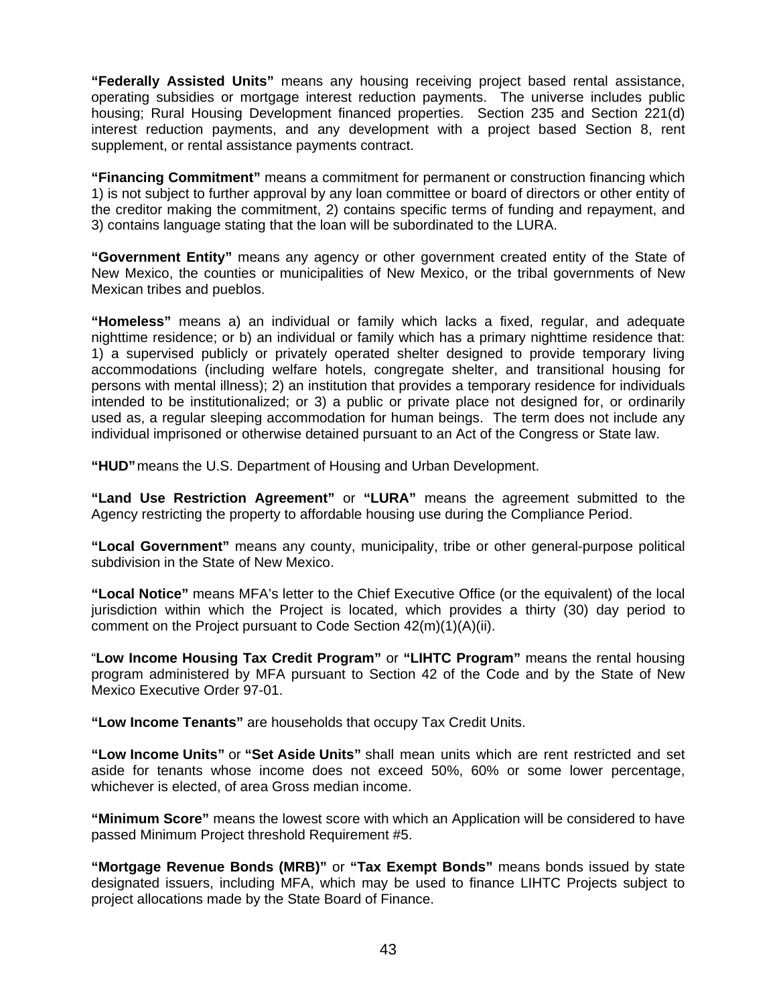**"Federally Assisted Units"** means any housing receiving project based rental assistance, operating subsidies or mortgage interest reduction payments. The universe includes public housing; Rural Housing Development financed properties. Section 235 and Section 221(d) interest reduction payments, and any development with a project based Section 8, rent supplement, or rental assistance payments contract.

**"Financing Commitment"** means a commitment for permanent or construction financing which 1) is not subject to further approval by any loan committee or board of directors or other entity of the creditor making the commitment, 2) contains specific terms of funding and repayment, and 3) contains language stating that the loan will be subordinated to the LURA.

**"Government Entity"** means any agency or other government created entity of the State of New Mexico, the counties or municipalities of New Mexico, or the tribal governments of New Mexican tribes and pueblos.

**"Homeless"** means a) an individual or family which lacks a fixed, regular, and adequate nighttime residence; or b) an individual or family which has a primary nighttime residence that: 1) a supervised publicly or privately operated shelter designed to provide temporary living accommodations (including welfare hotels, congregate shelter, and transitional housing for persons with mental illness); 2) an institution that provides a temporary residence for individuals intended to be institutionalized; or 3) a public or private place not designed for, or ordinarily used as, a regular sleeping accommodation for human beings. The term does not include any individual imprisoned or otherwise detained pursuant to an Act of the Congress or State law.

**"HUD"** means the U.S. Department of Housing and Urban Development.

**"Land Use Restriction Agreement"** or **"LURA"** means the agreement submitted to the Agency restricting the property to affordable housing use during the Compliance Period.

**"Local Government"** means any county, municipality, tribe or other general-purpose political subdivision in the State of New Mexico.

**"Local Notice"** means MFA's letter to the Chief Executive Office (or the equivalent) of the local jurisdiction within which the Project is located, which provides a thirty (30) day period to comment on the Project pursuant to Code Section 42(m)(1)(A)(ii).

"**Low Income Housing Tax Credit Program"** or **"LIHTC Program"** means the rental housing program administered by MFA pursuant to Section 42 of the Code and by the State of New Mexico Executive Order 97-01.

**"Low Income Tenants"** are households that occupy Tax Credit Units.

**"Low Income Units"** or **"Set Aside Units"** shall mean units which are rent restricted and set aside for tenants whose income does not exceed 50%, 60% or some lower percentage, whichever is elected, of area Gross median income.

**"Minimum Score"** means the lowest score with which an Application will be considered to have passed Minimum Project threshold Requirement #5.

**"Mortgage Revenue Bonds (MRB)"** or **"Tax Exempt Bonds"** means bonds issued by state designated issuers, including MFA, which may be used to finance LIHTC Projects subject to project allocations made by the State Board of Finance.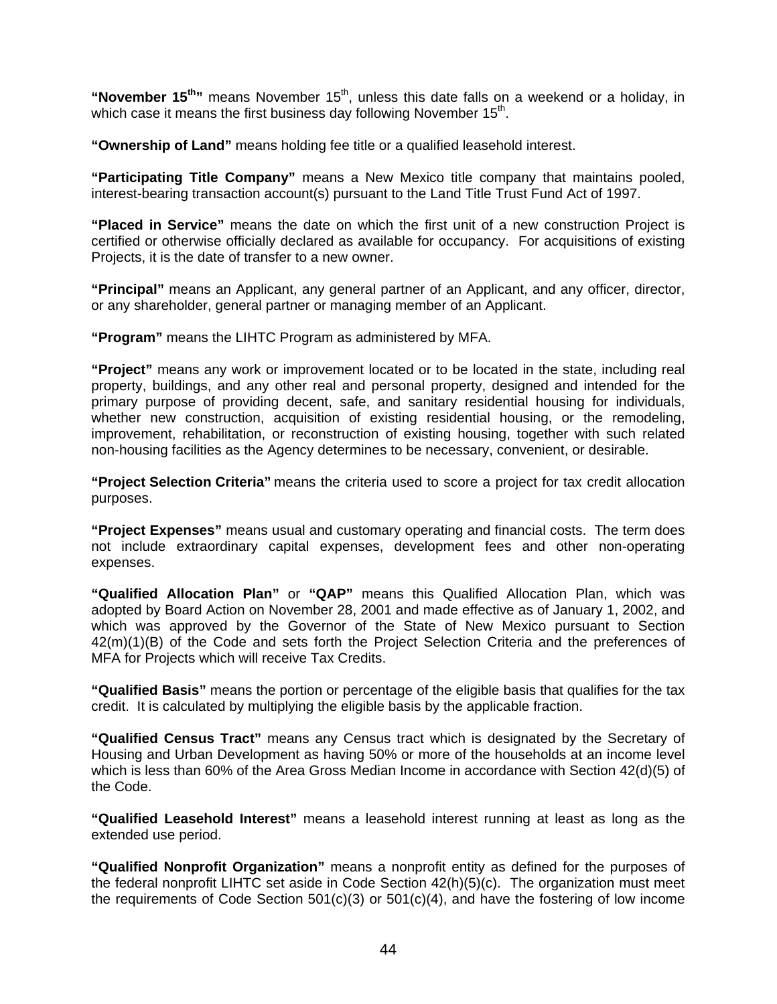"November 15<sup>th</sup>" means November 15<sup>th</sup>, unless this date falls on a weekend or a holiday, in which case it means the first business day following November  $15<sup>th</sup>$ .

**"Ownership of Land"** means holding fee title or a qualified leasehold interest.

**"Participating Title Company"** means a New Mexico title company that maintains pooled, interest-bearing transaction account(s) pursuant to the Land Title Trust Fund Act of 1997.

**"Placed in Service"** means the date on which the first unit of a new construction Project is certified or otherwise officially declared as available for occupancy. For acquisitions of existing Projects, it is the date of transfer to a new owner.

**"Principal"** means an Applicant, any general partner of an Applicant, and any officer, director, or any shareholder, general partner or managing member of an Applicant.

**"Program"** means the LIHTC Program as administered by MFA.

**"Project"** means any work or improvement located or to be located in the state, including real property, buildings, and any other real and personal property, designed and intended for the primary purpose of providing decent, safe, and sanitary residential housing for individuals, whether new construction, acquisition of existing residential housing, or the remodeling, improvement, rehabilitation, or reconstruction of existing housing, together with such related non-housing facilities as the Agency determines to be necessary, convenient, or desirable.

**"Project Selection Criteria"** means the criteria used to score a project for tax credit allocation purposes.

**"Project Expenses"** means usual and customary operating and financial costs. The term does not include extraordinary capital expenses, development fees and other non-operating expenses.

**"Qualified Allocation Plan"** or **"QAP"** means this Qualified Allocation Plan, which was adopted by Board Action on November 28, 2001 and made effective as of January 1, 2002, and which was approved by the Governor of the State of New Mexico pursuant to Section 42(m)(1)(B) of the Code and sets forth the Project Selection Criteria and the preferences of MFA for Projects which will receive Tax Credits.

**"Qualified Basis"** means the portion or percentage of the eligible basis that qualifies for the tax credit. It is calculated by multiplying the eligible basis by the applicable fraction.

**"Qualified Census Tract"** means any Census tract which is designated by the Secretary of Housing and Urban Development as having 50% or more of the households at an income level which is less than 60% of the Area Gross Median Income in accordance with Section 42(d)(5) of the Code.

**"Qualified Leasehold Interest"** means a leasehold interest running at least as long as the extended use period.

**"Qualified Nonprofit Organization"** means a nonprofit entity as defined for the purposes of the federal nonprofit LIHTC set aside in Code Section 42(h)(5)(c). The organization must meet the requirements of Code Section 501(c)(3) or 501(c)(4), and have the fostering of low income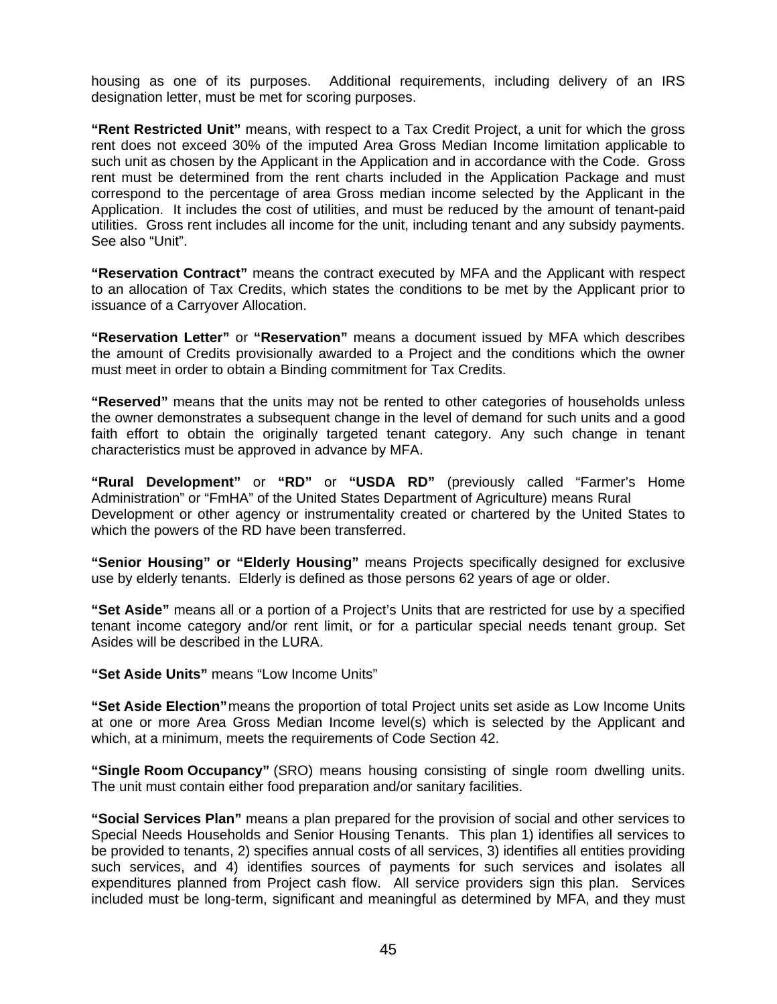housing as one of its purposes. Additional requirements, including delivery of an IRS designation letter, must be met for scoring purposes.

**"Rent Restricted Unit"** means, with respect to a Tax Credit Project, a unit for which the gross rent does not exceed 30% of the imputed Area Gross Median Income limitation applicable to such unit as chosen by the Applicant in the Application and in accordance with the Code. Gross rent must be determined from the rent charts included in the Application Package and must correspond to the percentage of area Gross median income selected by the Applicant in the Application. It includes the cost of utilities, and must be reduced by the amount of tenant-paid utilities. Gross rent includes all income for the unit, including tenant and any subsidy payments. See also "Unit".

**"Reservation Contract"** means the contract executed by MFA and the Applicant with respect to an allocation of Tax Credits, which states the conditions to be met by the Applicant prior to issuance of a Carryover Allocation.

**"Reservation Letter"** or **"Reservation"** means a document issued by MFA which describes the amount of Credits provisionally awarded to a Project and the conditions which the owner must meet in order to obtain a Binding commitment for Tax Credits.

**"Reserved"** means that the units may not be rented to other categories of households unless the owner demonstrates a subsequent change in the level of demand for such units and a good faith effort to obtain the originally targeted tenant category. Any such change in tenant characteristics must be approved in advance by MFA.

**"Rural Development"** or **"RD"** or **"USDA RD"** (previously called "Farmer's Home Administration" or "FmHA" of the United States Department of Agriculture) means Rural Development or other agency or instrumentality created or chartered by the United States to which the powers of the RD have been transferred.

**"Senior Housing" or "Elderly Housing"** means Projects specifically designed for exclusive use by elderly tenants. Elderly is defined as those persons 62 years of age or older.

**"Set Aside"** means all or a portion of a Project's Units that are restricted for use by a specified tenant income category and/or rent limit, or for a particular special needs tenant group. Set Asides will be described in the LURA.

**"Set Aside Units"** means "Low Income Units"

**"Set Aside Election"** means the proportion of total Project units set aside as Low Income Units at one or more Area Gross Median Income level(s) which is selected by the Applicant and which, at a minimum, meets the requirements of Code Section 42.

**"Single Room Occupancy"** (SRO) means housing consisting of single room dwelling units. The unit must contain either food preparation and/or sanitary facilities.

**"Social Services Plan"** means a plan prepared for the provision of social and other services to Special Needs Households and Senior Housing Tenants. This plan 1) identifies all services to be provided to tenants, 2) specifies annual costs of all services, 3) identifies all entities providing such services, and 4) identifies sources of payments for such services and isolates all expenditures planned from Project cash flow. All service providers sign this plan. Services included must be long-term, significant and meaningful as determined by MFA, and they must